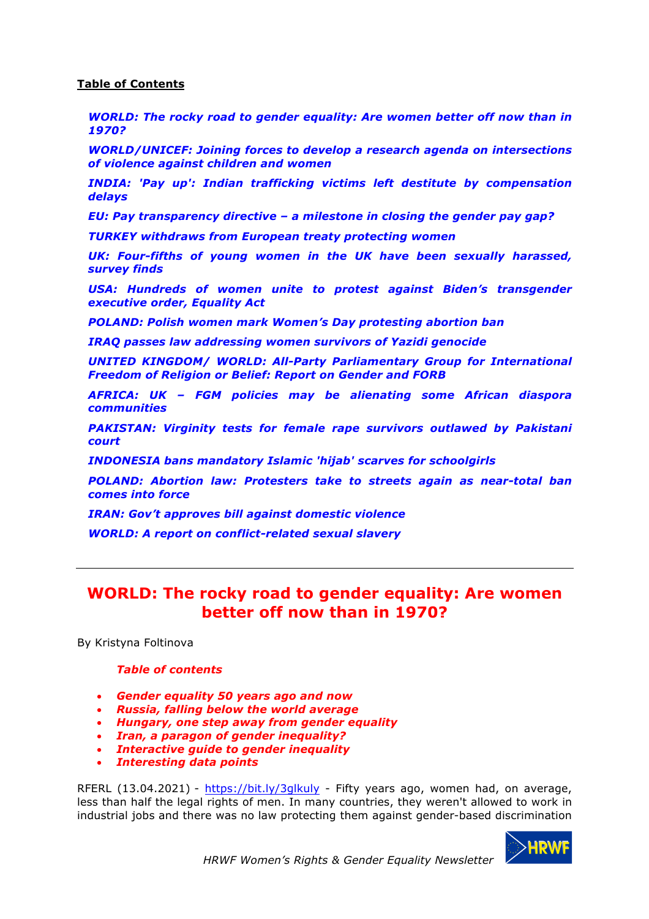#### **Table of Contents**

*WORLD: The rocky road to gender equality: Are women better off now than in 1970?*

*WORLD/UNICEF: Joining forces to develop a research agenda on intersections of violence against children and women*

*INDIA: 'Pay up': Indian trafficking victims left destitute by compensation delays*

*EU: Pay transparency directive – a milestone in closing the gender pay gap?*

*TURKEY withdraws from European treaty protecting women*

*UK: Four-fifths of young women in the UK have been sexually harassed, survey finds*

USA: Hundreds of women unite to protest against Biden's transgender *executive order, Equality Act*

*POLAND: Polish women mark Women's Day protesting abortion ban*

*IRAQ passes law addressing women survivors of Yazidi genocide*

*UNITED KINGDOM/ WORLD: All-Party Parliamentary Group for International Freedom of Religion or Belief: Report on Gender and FORB*

*AFRICA: UK – FGM policies may be alienating some African diaspora communities*

*PAKISTAN: Virginity tests for female rape survivors outlawed by Pakistani court*

*INDONESIA bans mandatory Islamic 'hijab' scarves for schoolgirls*

*POLAND: Abortion law: Protesters take to streets again as near-total ban comes into force*

*IRAN: Gov't approves bill against domestic violence*

*WORLD: A report on conflict-related sexual slavery*

### **WORLD: The rocky road to gender equality: Are women better off now than in 1970?**

By Kristyna Foltinova

#### *Table of contents*

- *Gender equality 50 years ago and now*
- *Russia, falling below the world average*
- *Hungary, one step away from gender equality*
- *Iran, a paragon of gender inequality?*
- *Interactive guide to gender inequality*
- *Interesting data points*

RFERL (13.04.2021) - https://bit.ly/3glkuly - Fifty years ago, women had, on average, less than half the legal rights of men. In many countries, they weren't allowed to work in industrial jobs and there was no law protecting them against gender-based discrimination

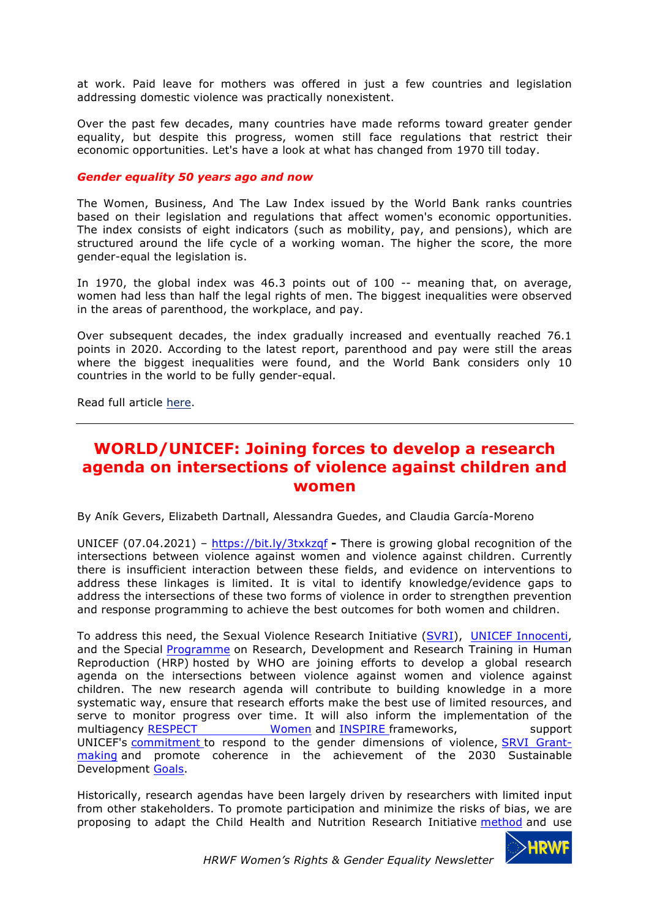at work. Paid leave for mothers was offered in just a few countries and legislation addressing domestic violence was practically nonexistent.

Over the past few decades, many countries have made reforms toward greater gender equality, but despite this progress, women still face regulations that restrict their economic opportunities. Let's have a look at what has changed from 1970 till today.

#### *Gender equality 50 years ago and now*

The Women, Business, And The Law Index issued by the World Bank ranks countries based on their legislation and regulations that affect women's economic opportunities. The index consists of eight indicators (such as mobility, pay, and pensions), which are structured around the life cycle of a working woman. The higher the score, the more gender-equal the legislation is.

In 1970, the global index was 46.3 points out of 100 -- meaning that, on average, women had less than half the legal rights of men. The biggest inequalities were observed in the areas of parenthood, the workplace, and pay.

Over subsequent decades, the index gradually increased and eventually reached 76.1 points in 2020. According to the latest report, parenthood and pay were still the areas where the biggest inequalities were found, and the World Bank considers only 10 countries in the world to be fully gender-equal.

Read full article here.

# **WORLD/UNICEF: Joining forces to develop a research agenda on intersections of violence against children and women**

By Aník Gevers, Elizabeth Dartnall, Alessandra Guedes, and Claudia García-Moreno

UNICEF (07.04.2021) – https://bit.ly/3txkzqf **-** There is growing global recognition of the intersections between violence against women and violence against children. Currently there is insufficient interaction between these fields, and evidence on interventions to address these linkages is limited. It is vital to identify knowledge/evidence gaps to address the intersections of these two forms of violence in order to strengthen prevention and response programming to achieve the best outcomes for both women and children.

To address this need, the Sexual Violence Research Initiative (SVRI), UNICEF Innocenti, and the Special Programme on Research, Development and Research Training in Human Reproduction (HRP) hosted by WHO are joining efforts to develop a global research agenda on the intersections between violence against women and violence against children. The new research agenda will contribute to building knowledge in a more systematic way, ensure that research efforts make the best use of limited resources, and serve to monitor progress over time. It will also inform the implementation of the multiagency RESPECT Women and INSPIRE frameworks, support UNICEF's commitment to respond to the gender dimensions of violence, SRVI Grantmaking and promote coherence in the achievement of the 2030 Sustainable Development Goals.

Historically, research agendas have been largely driven by researchers with limited input from other stakeholders. To promote participation and minimize the risks of bias, we are proposing to adapt the Child Health and Nutrition Research Initiative method and use

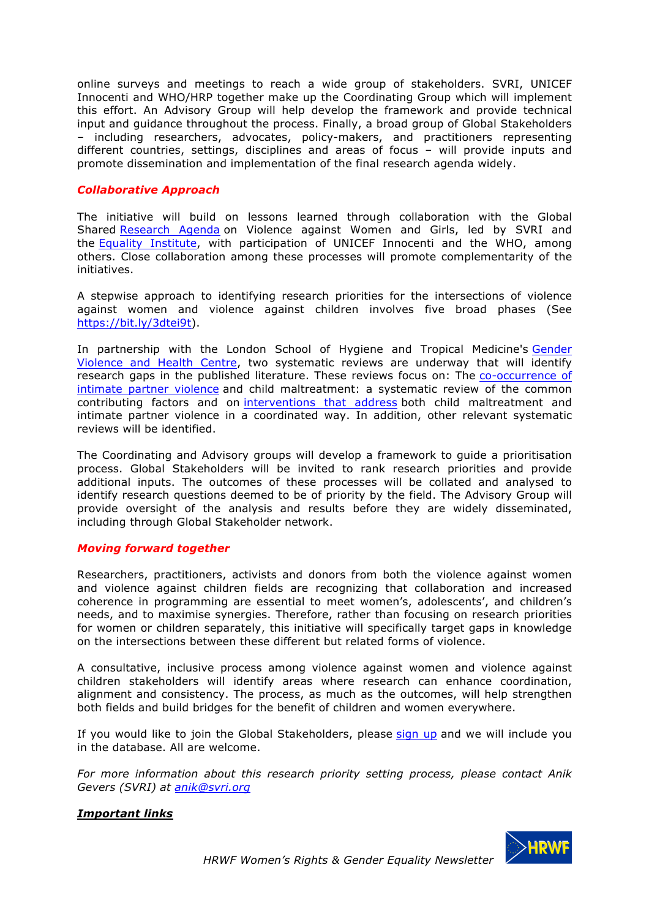online surveys and meetings to reach a wide group of stakeholders. SVRI, UNICEF Innocenti and WHO/HRP together make up the Coordinating Group which will implement this effort. An Advisory Group will help develop the framework and provide technical input and guidance throughout the process. Finally, a broad group of Global Stakeholders – including researchers, advocates, policy-makers, and practitioners representing different countries, settings, disciplines and areas of focus – will provide inputs and promote dissemination and implementation of the final research agenda widely.

#### *Collaborative Approach*

The initiative will build on lessons learned through collaboration with the Global Shared Research Agenda on Violence against Women and Girls, led by SVRI and the Equality Institute, with participation of UNICEF Innocenti and the WHO, among others. Close collaboration among these processes will promote complementarity of the initiatives.

A stepwise approach to identifying research priorities for the intersections of violence against women and violence against children involves five broad phases (See https://bit.ly/3dtei9t).

In partnership with the London School of Hygiene and Tropical Medicine's Gender Violence and Health Centre, two systematic reviews are underway that will identify research gaps in the published literature. These reviews focus on: The co-occurrence of intimate partner violence and child maltreatment: a systematic review of the common contributing factors and on interventions that address both child maltreatment and intimate partner violence in a coordinated way. In addition, other relevant systematic reviews will be identified.

The Coordinating and Advisory groups will develop a framework to guide a prioritisation process. Global Stakeholders will be invited to rank research priorities and provide additional inputs. The outcomes of these processes will be collated and analysed to identify research questions deemed to be of priority by the field. The Advisory Group will provide oversight of the analysis and results before they are widely disseminated, including through Global Stakeholder network.

#### *Moving forward together*

Researchers, practitioners, activists and donors from both the violence against women and violence against children fields are recognizing that collaboration and increased coherence in programming are essential to meet women's, adolescents', and children's needs, and to maximise synergies. Therefore, rather than focusing on research priorities for women or children separately, this initiative will specifically target gaps in knowledge on the intersections between these different but related forms of violence.

A consultative, inclusive process among violence against women and violence against children stakeholders will identify areas where research can enhance coordination, alignment and consistency. The process, as much as the outcomes, will help strengthen both fields and build bridges for the benefit of children and women everywhere.

If you would like to join the Global Stakeholders, please sign up and we will include you in the database. All are welcome.

*For more information about this research priority setting process, please contact Anik Gevers (SVRI) at anik@svri.org*

*Important links*

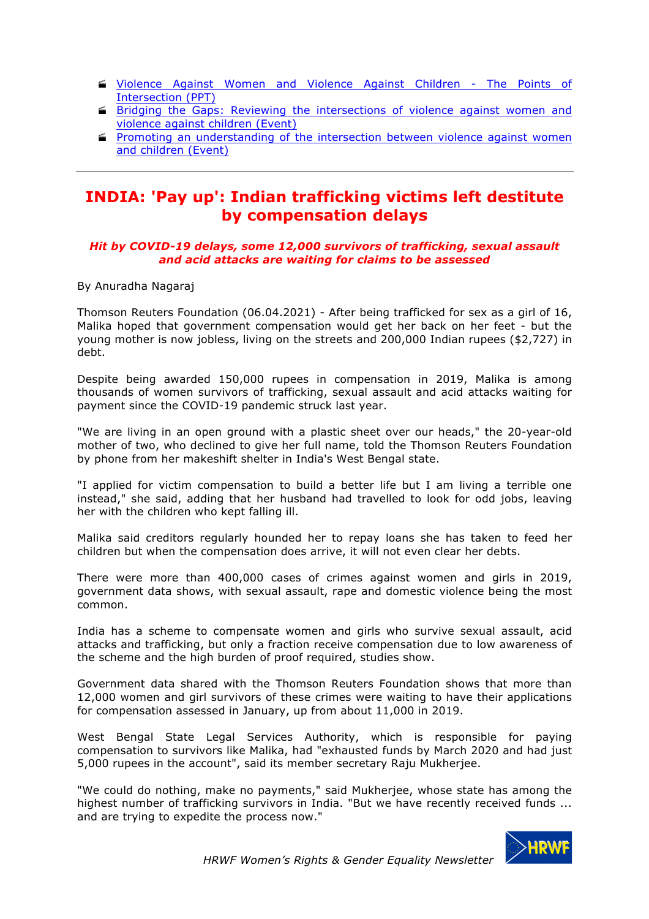- · Violence Against Women and Violence Against Children The Points of Intersection (PPT)
- **E** Bridging the Gaps: Reviewing the intersections of violence against women and violence against children (Event)
- $\leq$  Promoting an understanding of the intersection between violence against women and children (Event)

# **INDIA: 'Pay up': Indian trafficking victims left destitute by compensation delays**

*Hit by COVID-19 delays, some 12,000 survivors of trafficking, sexual assault and acid attacks are waiting for claims to be assessed*

By Anuradha Nagaraj

Thomson Reuters Foundation (06.04.2021) - After being trafficked for sex as a girl of 16, Malika hoped that government compensation would get her back on her feet - but the young mother is now jobless, living on the streets and 200,000 Indian rupees (\$2,727) in debt.

Despite being awarded 150,000 rupees in compensation in 2019, Malika is among thousands of women survivors of trafficking, sexual assault and acid attacks waiting for payment since the COVID-19 pandemic struck last year.

"We are living in an open ground with a plastic sheet over our heads," the 20-year-old mother of two, who declined to give her full name, told the Thomson Reuters Foundation by phone from her makeshift shelter in India's West Bengal state.

"I applied for victim compensation to build a better life but I am living a terrible one instead," she said, adding that her husband had travelled to look for odd jobs, leaving her with the children who kept falling ill.

Malika said creditors regularly hounded her to repay loans she has taken to feed her children but when the compensation does arrive, it will not even clear her debts.

There were more than 400,000 cases of crimes against women and girls in 2019, government data shows, with sexual assault, rape and domestic violence being the most common.

India has a scheme to compensate women and girls who survive sexual assault, acid attacks and trafficking, but only a fraction receive compensation due to low awareness of the scheme and the high burden of proof required, studies show.

Government data shared with the Thomson Reuters Foundation shows that more than 12,000 women and girl survivors of these crimes were waiting to have their applications for compensation assessed in January, up from about 11,000 in 2019.

West Bengal State Legal Services Authority, which is responsible for paying compensation to survivors like Malika, had "exhausted funds by March 2020 and had just 5,000 rupees in the account", said its member secretary Raju Mukherjee.

"We could do nothing, make no payments," said Mukherjee, whose state has among the highest number of trafficking survivors in India. "But we have recently received funds ... and are trying to expedite the process now."

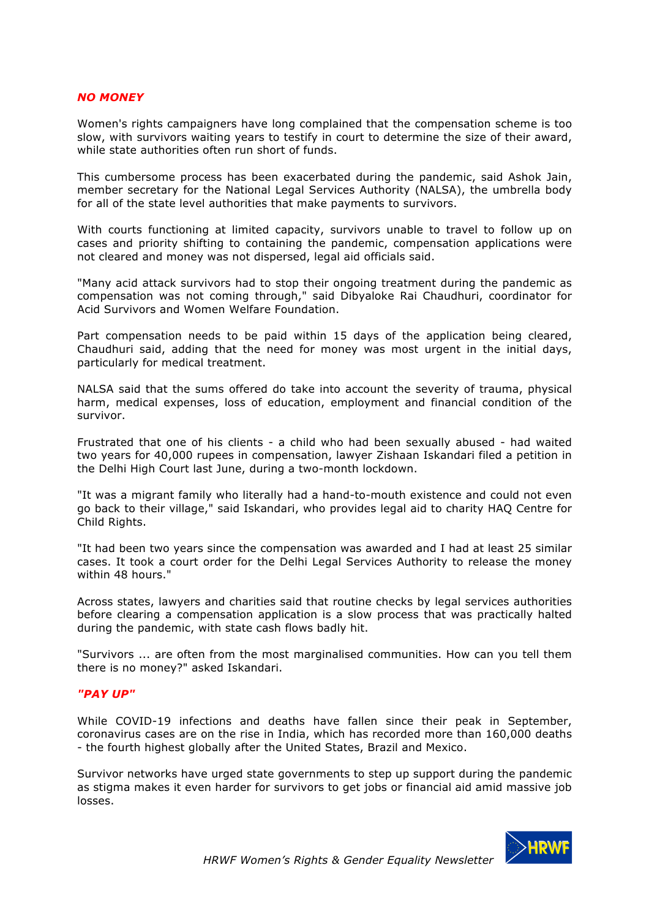#### *NO MONEY*

Women's rights campaigners have long complained that the compensation scheme is too slow, with survivors waiting years to testify in court to determine the size of their award, while state authorities often run short of funds.

This cumbersome process has been exacerbated during the pandemic, said Ashok Jain, member secretary for the National Legal Services Authority (NALSA), the umbrella body for all of the state level authorities that make payments to survivors.

With courts functioning at limited capacity, survivors unable to travel to follow up on cases and priority shifting to containing the pandemic, compensation applications were not cleared and money was not dispersed, legal aid officials said.

"Many acid attack survivors had to stop their ongoing treatment during the pandemic as compensation was not coming through," said Dibyaloke Rai Chaudhuri, coordinator for Acid Survivors and Women Welfare Foundation.

Part compensation needs to be paid within 15 days of the application being cleared, Chaudhuri said, adding that the need for money was most urgent in the initial days, particularly for medical treatment.

NALSA said that the sums offered do take into account the severity of trauma, physical harm, medical expenses, loss of education, employment and financial condition of the survivor.

Frustrated that one of his clients - a child who had been sexually abused - had waited two years for 40,000 rupees in compensation, lawyer Zishaan Iskandari filed a petition in the Delhi High Court last June, during a two-month lockdown.

"It was a migrant family who literally had a hand-to-mouth existence and could not even go back to their village," said Iskandari, who provides legal aid to charity HAQ Centre for Child Rights.

"It had been two years since the compensation was awarded and I had at least 25 similar cases. It took a court order for the Delhi Legal Services Authority to release the money within 48 hours."

Across states, lawyers and charities said that routine checks by legal services authorities before clearing a compensation application is a slow process that was practically halted during the pandemic, with state cash flows badly hit.

"Survivors ... are often from the most marginalised communities. How can you tell them there is no money?" asked Iskandari.

#### *"PAY UP"*

While COVID-19 infections and deaths have fallen since their peak in September, coronavirus cases are on the rise in India, which has recorded more than 160,000 deaths - the fourth highest globally after the United States, Brazil and Mexico.

Survivor networks have urged state governments to step up support during the pandemic as stigma makes it even harder for survivors to get jobs or financial aid amid massive job losses.

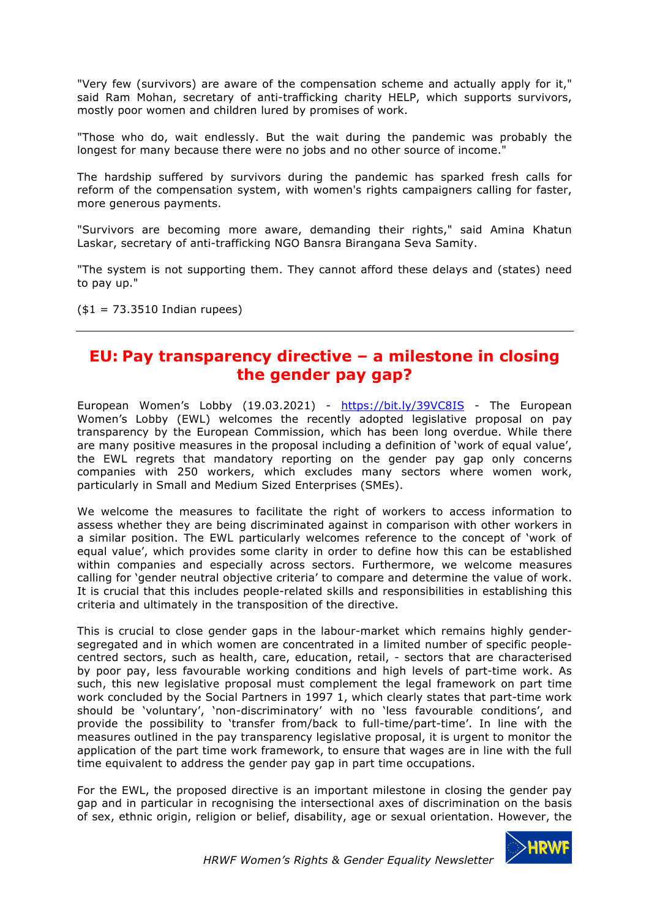"Very few (survivors) are aware of the compensation scheme and actually apply for it," said Ram Mohan, secretary of anti-trafficking charity HELP, which supports survivors, mostly poor women and children lured by promises of work.

"Those who do, wait endlessly. But the wait during the pandemic was probably the longest for many because there were no jobs and no other source of income."

The hardship suffered by survivors during the pandemic has sparked fresh calls for reform of the compensation system, with women's rights campaigners calling for faster, more generous payments.

"Survivors are becoming more aware, demanding their rights," said Amina Khatun Laskar, secretary of anti-trafficking NGO Bansra Birangana Seva Samity.

"The system is not supporting them. They cannot afford these delays and (states) need to pay up."

 $($1 = 73.3510$  Indian rupees)

# **EU: Pay transparency directive – a milestone in closing the gender pay gap?**

European Women's Lobby (19.03.2021) - https://bit.ly/39VC8IS - The European Women's Lobby (EWL) welcomes the recently adopted legislative proposal on pay transparency by the European Commission, which has been long overdue. While there are many positive measures in the proposal including a definition of 'work of equal value', the EWL regrets that mandatory reporting on the gender pay gap only concerns companies with 250 workers, which excludes many sectors where women work, particularly in Small and Medium Sized Enterprises (SMEs).

We welcome the measures to facilitate the right of workers to access information to assess whether they are being discriminated against in comparison with other workers in a similar position. The EWL particularly welcomes reference to the concept of 'work of equal value', which provides some clarity in order to define how this can be established within companies and especially across sectors. Furthermore, we welcome measures calling for 'gender neutral objective criteria' to compare and determine the value of work. It is crucial that this includes people-related skills and responsibilities in establishing this criteria and ultimately in the transposition of the directive.

This is crucial to close gender gaps in the labour-market which remains highly gendersegregated and in which women are concentrated in a limited number of specific peoplecentred sectors, such as health, care, education, retail, - sectors that are characterised by poor pay, less favourable working conditions and high levels of part-time work. As such, this new legislative proposal must complement the legal framework on part time work concluded by the Social Partners in 1997 1, which clearly states that part-time work should be 'voluntary', 'non-discriminatory' with no 'less favourable conditions', and provide the possibility to 'transfer from/back to full-time/part-time'. In line with the measures outlined in the pay transparency legislative proposal, it is urgent to monitor the application of the part time work framework, to ensure that wages are in line with the full time equivalent to address the gender pay gap in part time occupations.

For the EWL, the proposed directive is an important milestone in closing the gender pay gap and in particular in recognising the intersectional axes of discrimination on the basis of sex, ethnic origin, religion or belief, disability, age or sexual orientation. However, the

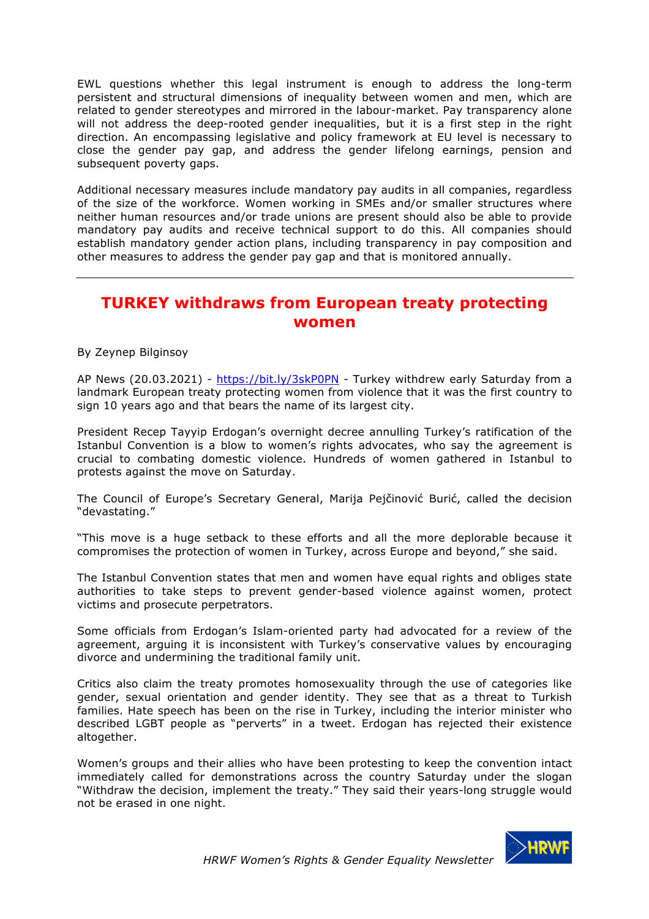EWL questions whether this legal instrument is enough to address the long-term persistent and structural dimensions of inequality between women and men, which are related to gender stereotypes and mirrored in the labour-market. Pay transparency alone will not address the deep-rooted gender inequalities, but it is a first step in the right direction. An encompassing legislative and policy framework at EU level is necessary to close the gender pay gap, and address the gender lifelong earnings, pension and subsequent poverty gaps.

Additional necessary measures include mandatory pay audits in all companies, regardless of the size of the workforce. Women working in SMEs and/or smaller structures where neither human resources and/or trade unions are present should also be able to provide mandatory pay audits and receive technical support to do this. All companies should establish mandatory gender action plans, including transparency in pay composition and other measures to address the gender pay gap and that is monitored annually.

# **TURKEY withdraws from European treaty protecting women**

By Zeynep Bilginsoy

AP News (20.03.2021) - https://bit.ly/3skP0PN - Turkey withdrew early Saturday from a landmark European treaty protecting women from violence that it was the first country to sign 10 years ago and that bears the name of its largest city.

President Recep Tayyip Erdogan's overnight decree annulling Turkey's ratification of the Istanbul Convention is a blow to women's rights advocates, who say the agreement is crucial to combating domestic violence. Hundreds of women gathered in Istanbul to protests against the move on Saturday.

The Council of Europe's Secretary General, Marija Pejčinović Burić, called the decision "devastating."

"This move is a huge setback to these efforts and all the more deplorable because it compromises the protection of women in Turkey, across Europe and beyond," she said.

The Istanbul Convention states that men and women have equal rights and obliges state authorities to take steps to prevent gender-based violence against women, protect victims and prosecute perpetrators.

Some officials from Erdogan's Islam-oriented party had advocated for a review of the agreement, arguing it is inconsistent with Turkey's conservative values by encouraging divorce and undermining the traditional family unit.

Critics also claim the treaty promotes homosexuality through the use of categories like gender, sexual orientation and gender identity. They see that as a threat to Turkish families. Hate speech has been on the rise in Turkey, including the interior minister who described LGBT people as "perverts" in a tweet. Erdogan has rejected their existence altogether.

Women's groups and their allies who have been protesting to keep the convention intact immediately called for demonstrations across the country Saturday under the slogan "Withdraw the decision, implement the treaty." They said their years-long struggle would not be erased in one night.

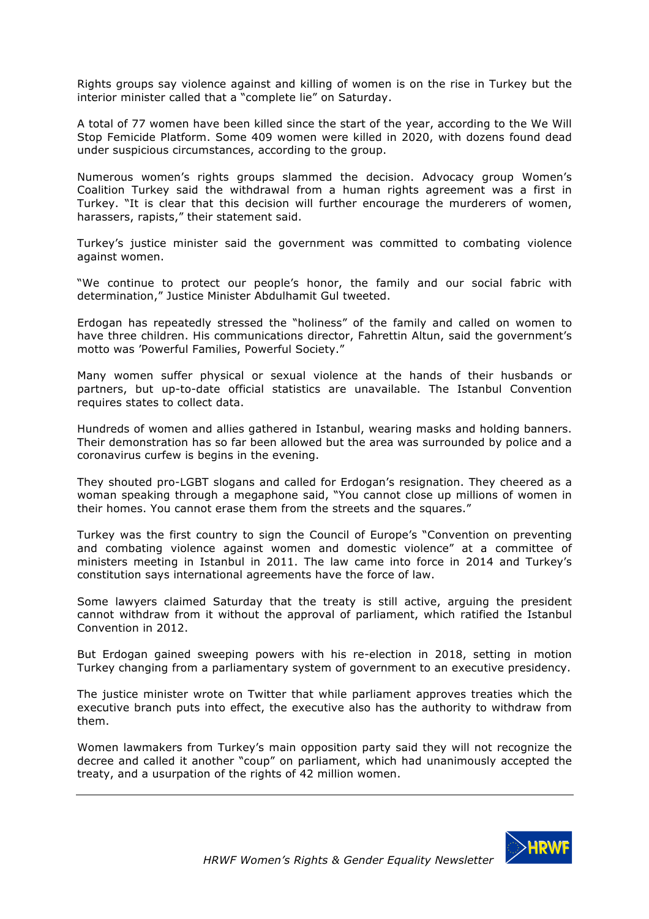Rights groups say violence against and killing of women is on the rise in Turkey but the interior minister called that a "complete lie" on Saturday.

A total of 77 women have been killed since the start of the year, according to the We Will Stop Femicide Platform. Some 409 women were killed in 2020, with dozens found dead under suspicious circumstances, according to the group.

Numerous women's rights groups slammed the decision. Advocacy group Women's Coalition Turkey said the withdrawal from a human rights agreement was a first in Turkey. "It is clear that this decision will further encourage the murderers of women, harassers, rapists," their statement said.

Turkey's justice minister said the government was committed to combating violence against women.

"We continue to protect our people's honor, the family and our social fabric with determination," Justice Minister Abdulhamit Gul tweeted.

Erdogan has repeatedly stressed the "holiness" of the family and called on women to have three children. His communications director, Fahrettin Altun, said the government's motto was 'Powerful Families, Powerful Society."

Many women suffer physical or sexual violence at the hands of their husbands or partners, but up-to-date official statistics are unavailable. The Istanbul Convention requires states to collect data.

Hundreds of women and allies gathered in Istanbul, wearing masks and holding banners. Their demonstration has so far been allowed but the area was surrounded by police and a coronavirus curfew is begins in the evening.

They shouted pro-LGBT slogans and called for Erdogan's resignation. They cheered as a woman speaking through a megaphone said, "You cannot close up millions of women in their homes. You cannot erase them from the streets and the squares."

Turkey was the first country to sign the Council of Europe's "Convention on preventing and combating violence against women and domestic violence" at a committee of ministers meeting in Istanbul in 2011. The law came into force in 2014 and Turkey's constitution says international agreements have the force of law.

Some lawyers claimed Saturday that the treaty is still active, arguing the president cannot withdraw from it without the approval of parliament, which ratified the Istanbul Convention in 2012.

But Erdogan gained sweeping powers with his re-election in 2018, setting in motion Turkey changing from a parliamentary system of government to an executive presidency.

The justice minister wrote on Twitter that while parliament approves treaties which the executive branch puts into effect, the executive also has the authority to withdraw from them.

Women lawmakers from Turkey's main opposition party said they will not recognize the decree and called it another "coup" on parliament, which had unanimously accepted the treaty, and a usurpation of the rights of 42 million women.

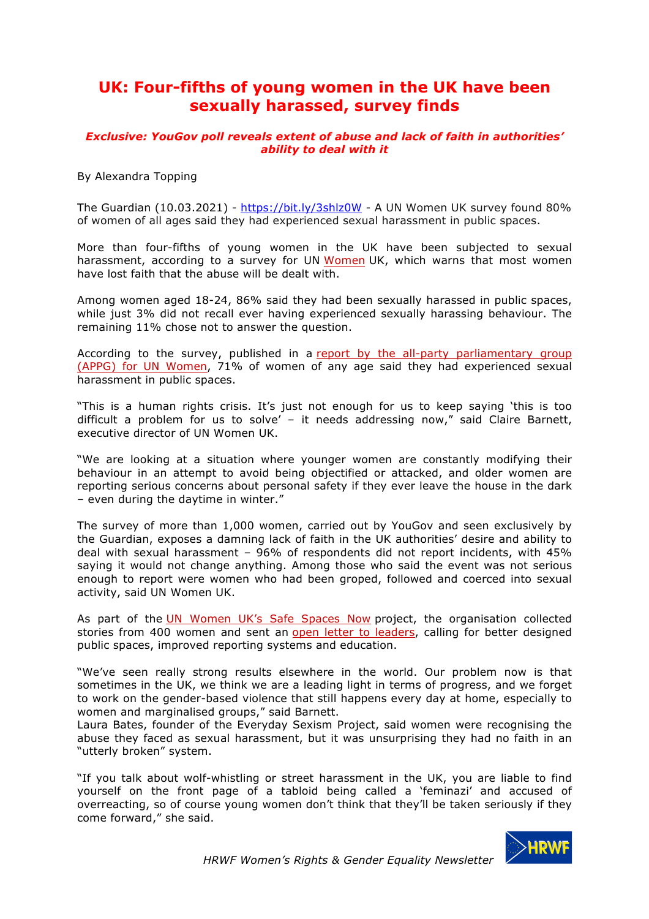# **UK: Four-fifths of young women in the UK have been sexually harassed, survey finds**

#### *Exclusive: YouGov poll reveals extent of abuse and lack of faith in authorities' ability to deal with it*

By Alexandra Topping

The Guardian (10.03.2021) - https://bit.ly/3shlz0W - A UN Women UK survey found 80% of women of all ages said they had experienced sexual harassment in public spaces.

More than four-fifths of young women in the UK have been subjected to sexual harassment, according to a survey for UN Women UK, which warns that most women have lost faith that the abuse will be dealt with.

Among women aged 18-24, 86% said they had been sexually harassed in public spaces, while just 3% did not recall ever having experienced sexually harassing behaviour. The remaining 11% chose not to answer the question.

According to the survey, published in a report by the all-party parliamentary group (APPG) for UN Women, 71% of women of any age said they had experienced sexual harassment in public spaces.

"This is a human rights crisis. It's just not enough for us to keep saying 'this is too difficult a problem for us to solve' – it needs addressing now," said Claire Barnett, executive director of UN Women UK.

"We are looking at a situation where younger women are constantly modifying their behaviour in an attempt to avoid being objectified or attacked, and older women are reporting serious concerns about personal safety if they ever leave the house in the dark – even during the daytime in winter."

The survey of more than 1,000 women, carried out by YouGov and seen exclusively by the Guardian, exposes a damning lack of faith in the UK authorities' desire and ability to deal with sexual harassment – 96% of respondents did not report incidents, with 45% saying it would not change anything. Among those who said the event was not serious enough to report were women who had been groped, followed and coerced into sexual activity, said UN Women UK.

As part of the UN Women UK's Safe Spaces Now project, the organisation collected stories from 400 women and sent an open letter to leaders, calling for better designed public spaces, improved reporting systems and education.

"We've seen really strong results elsewhere in the world. Our problem now is that sometimes in the UK, we think we are a leading light in terms of progress, and we forget to work on the gender-based violence that still happens every day at home, especially to women and marginalised groups," said Barnett.

Laura Bates, founder of the Everyday Sexism Project, said women were recognising the abuse they faced as sexual harassment, but it was unsurprising they had no faith in an "utterly broken" system.

"If you talk about wolf-whistling or street harassment in the UK, you are liable to find yourself on the front page of a tabloid being called a 'feminazi' and accused of overreacting, so of course young women don't think that they'll be taken seriously if they come forward," she said.

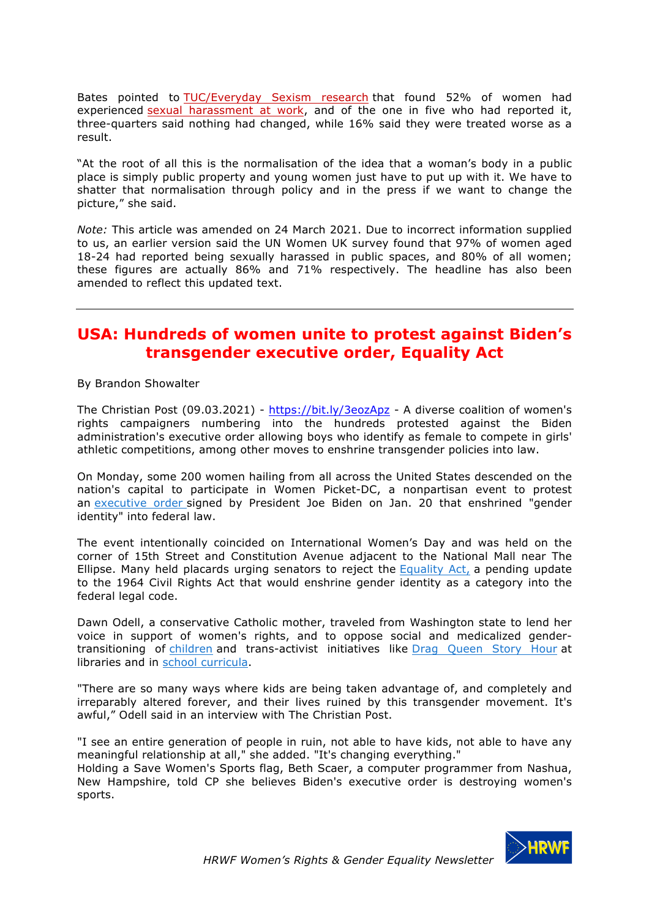Bates pointed to TUC/Everyday Sexism research that found 52% of women had experienced sexual harassment at work, and of the one in five who had reported it, three-quarters said nothing had changed, while 16% said they were treated worse as a result.

"At the root of all this is the normalisation of the idea that a woman's body in a public place is simply public property and young women just have to put up with it. We have to shatter that normalisation through policy and in the press if we want to change the picture," she said.

*Note:* This article was amended on 24 March 2021. Due to incorrect information supplied to us, an earlier version said the UN Women UK survey found that 97% of women aged 18-24 had reported being sexually harassed in public spaces, and 80% of all women; these figures are actually 86% and 71% respectively. The headline has also been amended to reflect this updated text.

### **USA: Hundreds of women unite to protest against Biden's transgender executive order, Equality Act**

By Brandon Showalter

The Christian Post (09.03.2021) - https://bit.ly/3eozApz - A diverse coalition of women's rights campaigners numbering into the hundreds protested against the Biden administration's executive order allowing boys who identify as female to compete in girls' athletic competitions, among other moves to enshrine transgender policies into law.

On Monday, some 200 women hailing from all across the United States descended on the nation's capital to participate in Women Picket-DC, a nonpartisan event to protest an executive order signed by President Joe Biden on Jan. 20 that enshrined "gender identity" into federal law.

The event intentionally coincided on International Women's Day and was held on the corner of 15th Street and Constitution Avenue adjacent to the National Mall near The Ellipse. Many held placards urging senators to reject the Equality Act, a pending update to the 1964 Civil Rights Act that would enshrine gender identity as a category into the federal legal code.

Dawn Odell, a conservative Catholic mother, traveled from Washington state to lend her voice in support of women's rights, and to oppose social and medicalized gendertransitioning of children and trans-activist initiatives like Drag Queen Story Hour at libraries and in school curricula.

"There are so many ways where kids are being taken advantage of, and completely and irreparably altered forever, and their lives ruined by this transgender movement. It's awful," Odell said in an interview with The Christian Post.

"I see an entire generation of people in ruin, not able to have kids, not able to have any meaningful relationship at all," she added. "It's changing everything."

Holding a Save Women's Sports flag, Beth Scaer, a computer programmer from Nashua, New Hampshire, told CP she believes Biden's executive order is destroying women's sports.

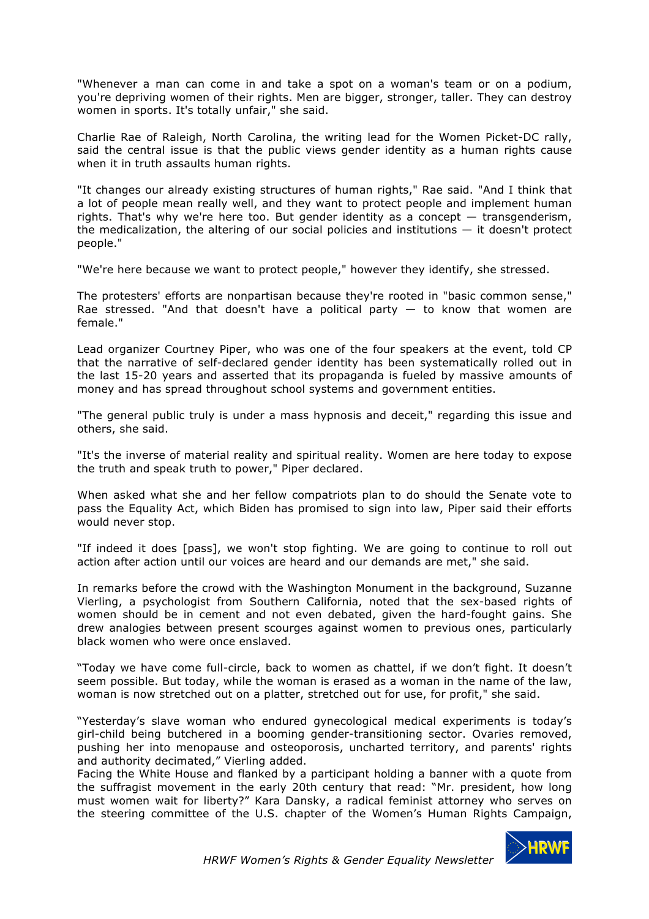"Whenever a man can come in and take a spot on a woman's team or on a podium, you're depriving women of their rights. Men are bigger, stronger, taller. They can destroy women in sports. It's totally unfair," she said.

Charlie Rae of Raleigh, North Carolina, the writing lead for the Women Picket-DC rally, said the central issue is that the public views gender identity as a human rights cause when it in truth assaults human rights.

"It changes our already existing structures of human rights," Rae said. "And I think that a lot of people mean really well, and they want to protect people and implement human rights. That's why we're here too. But gender identity as a concept  $-$  transgenderism, the medicalization, the altering of our social policies and institutions — it doesn't protect people."

"We're here because we want to protect people," however they identify, she stressed.

The protesters' efforts are nonpartisan because they're rooted in "basic common sense," Rae stressed. "And that doesn't have a political party  $-$  to know that women are female."

Lead organizer Courtney Piper, who was one of the four speakers at the event, told CP that the narrative of self-declared gender identity has been systematically rolled out in the last 15-20 years and asserted that its propaganda is fueled by massive amounts of money and has spread throughout school systems and government entities.

"The general public truly is under a mass hypnosis and deceit," regarding this issue and others, she said.

"It's the inverse of material reality and spiritual reality. Women are here today to expose the truth and speak truth to power," Piper declared.

When asked what she and her fellow compatriots plan to do should the Senate vote to pass the Equality Act, which Biden has promised to sign into law, Piper said their efforts would never stop.

"If indeed it does [pass], we won't stop fighting. We are going to continue to roll out action after action until our voices are heard and our demands are met," she said.

In remarks before the crowd with the Washington Monument in the background, Suzanne Vierling, a psychologist from Southern California, noted that the sex-based rights of women should be in cement and not even debated, given the hard-fought gains. She drew analogies between present scourges against women to previous ones, particularly black women who were once enslaved.

"Today we have come full-circle, back to women as chattel, if we don't fight. It doesn't seem possible. But today, while the woman is erased as a woman in the name of the law, woman is now stretched out on a platter, stretched out for use, for profit," she said.

"Yesterday's slave woman who endured gynecological medical experiments is today's girl-child being butchered in a booming gender-transitioning sector. Ovaries removed, pushing her into menopause and osteoporosis, uncharted territory, and parents' rights and authority decimated," Vierling added.

Facing the White House and flanked by a participant holding a banner with a quote from the suffragist movement in the early 20th century that read: "Mr. president, how long must women wait for liberty?" Kara Dansky, a radical feminist attorney who serves on the steering committee of the U.S. chapter of the Women's Human Rights Campaign,

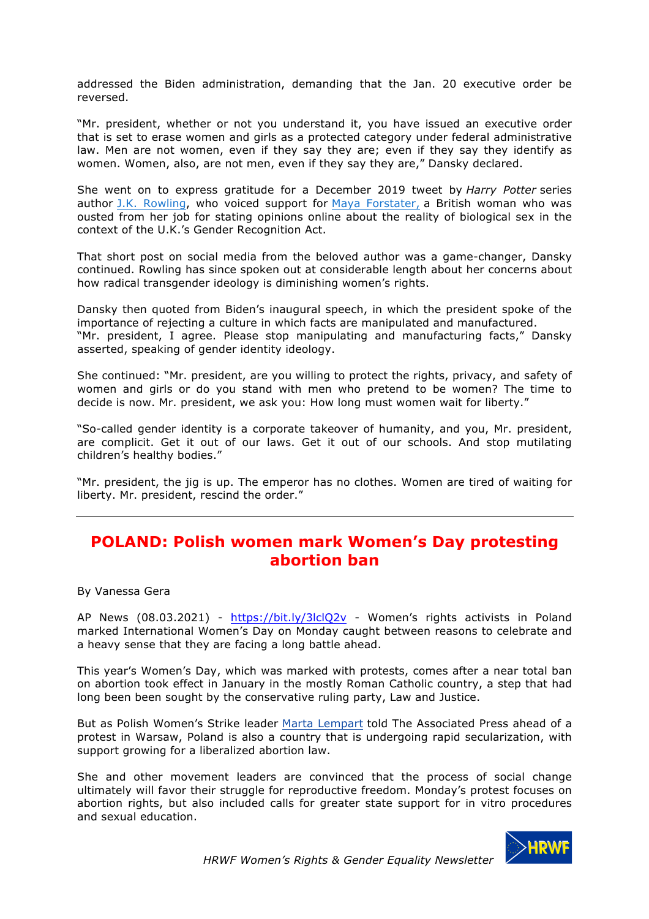addressed the Biden administration, demanding that the Jan. 20 executive order be reversed.

"Mr. president, whether or not you understand it, you have issued an executive order that is set to erase women and girls as a protected category under federal administrative law. Men are not women, even if they say they are; even if they say they identify as women. Women, also, are not men, even if they say they are," Dansky declared.

She went on to express gratitude for a December 2019 tweet by *Harry Potter* series author J.K. Rowling, who voiced support for Maya Forstater, a British woman who was ousted from her job for stating opinions online about the reality of biological sex in the context of the U.K.'s Gender Recognition Act.

That short post on social media from the beloved author was a game-changer, Dansky continued. Rowling has since spoken out at considerable length about her concerns about how radical transgender ideology is diminishing women's rights.

Dansky then quoted from Biden's inaugural speech, in which the president spoke of the importance of rejecting a culture in which facts are manipulated and manufactured. "Mr. president, I agree. Please stop manipulating and manufacturing facts," Dansky asserted, speaking of gender identity ideology.

She continued: "Mr. president, are you willing to protect the rights, privacy, and safety of women and girls or do you stand with men who pretend to be women? The time to decide is now. Mr. president, we ask you: How long must women wait for liberty."

"So-called gender identity is a corporate takeover of humanity, and you, Mr. president, are complicit. Get it out of our laws. Get it out of our schools. And stop mutilating children's healthy bodies."

"Mr. president, the jig is up. The emperor has no clothes. Women are tired of waiting for liberty. Mr. president, rescind the order."

# **POLAND: Polish women mark Women's Day protesting abortion ban**

By Vanessa Gera

AP News (08.03.2021) - https://bit.ly/3lclQ2v - Women's rights activists in Poland marked International Women's Day on Monday caught between reasons to celebrate and a heavy sense that they are facing a long battle ahead.

This year's Women's Day, which was marked with protests, comes after a near total ban on abortion took effect in January in the mostly Roman Catholic country, a step that had long been been sought by the conservative ruling party, Law and Justice.

But as Polish Women's Strike leader Marta Lempart told The Associated Press ahead of a protest in Warsaw, Poland is also a country that is undergoing rapid secularization, with support growing for a liberalized abortion law.

She and other movement leaders are convinced that the process of social change ultimately will favor their struggle for reproductive freedom. Monday's protest focuses on abortion rights, but also included calls for greater state support for in vitro procedures and sexual education.

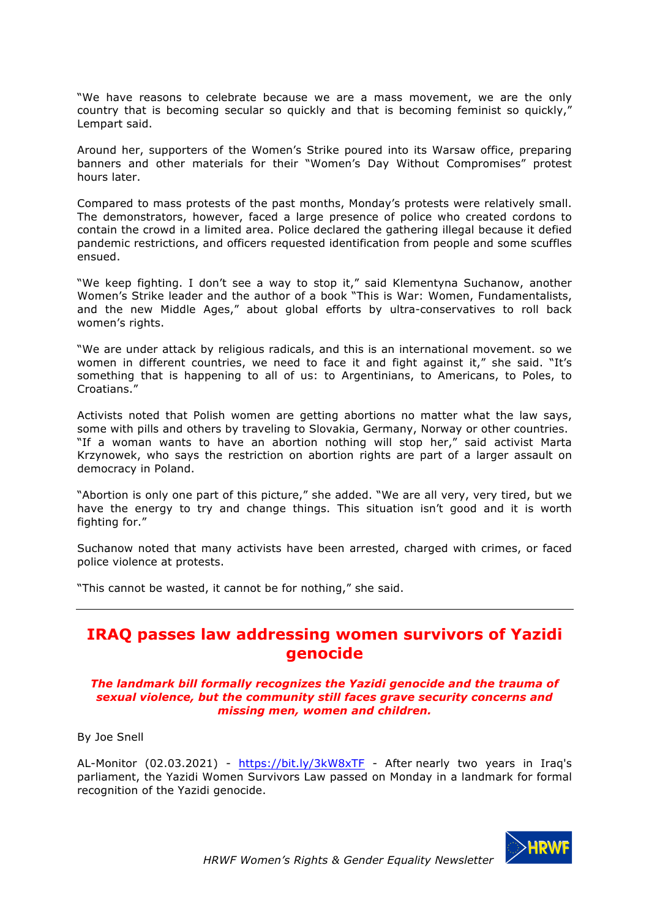"We have reasons to celebrate because we are a mass movement, we are the only country that is becoming secular so quickly and that is becoming feminist so quickly," Lempart said.

Around her, supporters of the Women's Strike poured into its Warsaw office, preparing banners and other materials for their "Women's Day Without Compromises" protest hours later.

Compared to mass protests of the past months, Monday's protests were relatively small. The demonstrators, however, faced a large presence of police who created cordons to contain the crowd in a limited area. Police declared the gathering illegal because it defied pandemic restrictions, and officers requested identification from people and some scuffles ensued.

"We keep fighting. I don't see a way to stop it," said Klementyna Suchanow, another Women's Strike leader and the author of a book "This is War: Women, Fundamentalists, and the new Middle Ages," about global efforts by ultra-conservatives to roll back women's rights.

"We are under attack by religious radicals, and this is an international movement. so we women in different countries, we need to face it and fight against it," she said. "It's something that is happening to all of us: to Argentinians, to Americans, to Poles, to Croatians."

Activists noted that Polish women are getting abortions no matter what the law says, some with pills and others by traveling to Slovakia, Germany, Norway or other countries. "If a woman wants to have an abortion nothing will stop her," said activist Marta Krzynowek, who says the restriction on abortion rights are part of a larger assault on democracy in Poland.

"Abortion is only one part of this picture," she added. "We are all very, very tired, but we have the energy to try and change things. This situation isn't good and it is worth fighting for."

Suchanow noted that many activists have been arrested, charged with crimes, or faced police violence at protests.

"This cannot be wasted, it cannot be for nothing," she said.

### **IRAQ passes law addressing women survivors of Yazidi genocide**

*The landmark bill formally recognizes the Yazidi genocide and the trauma of sexual violence, but the community still faces grave security concerns and missing men, women and children.*

By Joe Snell

AL-Monitor (02.03.2021) - https://bit.ly/3kW8xTF - After nearly two years in Iraq's parliament, the Yazidi Women Survivors Law passed on Monday in a landmark for formal recognition of the Yazidi genocide.

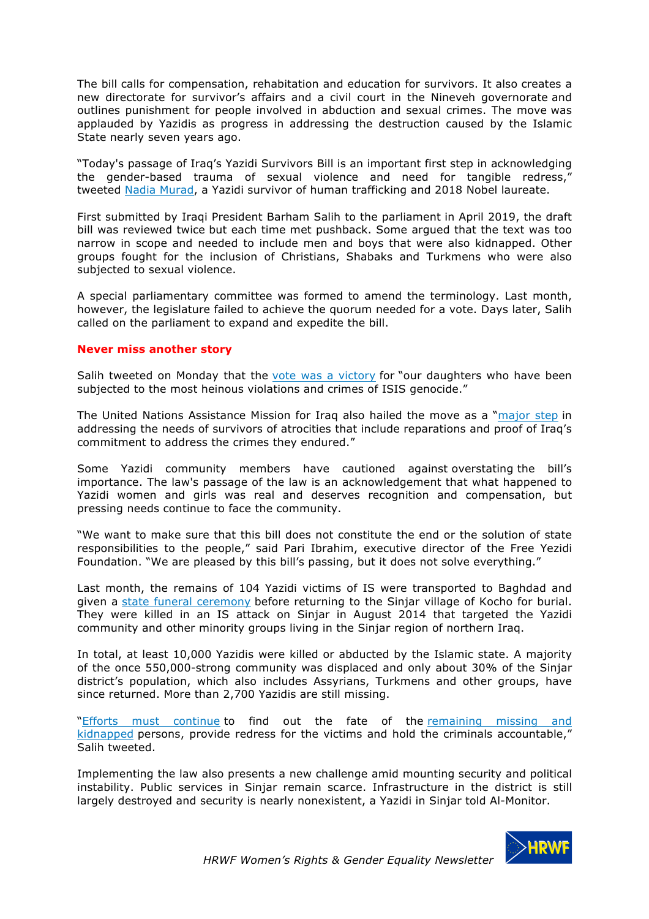The bill calls for compensation, rehabitation and education for survivors. It also creates a new directorate for survivor's affairs and a civil court in the Nineveh governorate and outlines punishment for people involved in abduction and sexual crimes. The move was applauded by Yazidis as progress in addressing the destruction caused by the Islamic State nearly seven years ago.

"Today's passage of Iraq's Yazidi Survivors Bill is an important first step in acknowledging the gender-based trauma of sexual violence and need for tangible redress," tweeted Nadia Murad, a Yazidi survivor of human trafficking and 2018 Nobel laureate.

First submitted by Iraqi President Barham Salih to the parliament in April 2019, the draft bill was reviewed twice but each time met pushback. Some argued that the text was too narrow in scope and needed to include men and boys that were also kidnapped. Other groups fought for the inclusion of Christians, Shabaks and Turkmens who were also subjected to sexual violence.

A special parliamentary committee was formed to amend the terminology. Last month, however, the legislature failed to achieve the quorum needed for a vote. Days later, Salih called on the parliament to expand and expedite the bill.

#### **Never miss another story**

Salih tweeted on Monday that the vote was a victory for "our daughters who have been subjected to the most heinous violations and crimes of ISIS genocide."

The United Nations Assistance Mission for Iraq also hailed the move as a "major step in addressing the needs of survivors of atrocities that include reparations and proof of Iraq's commitment to address the crimes they endured."

Some Yazidi community members have cautioned against overstating the bill's importance. The law's passage of the law is an acknowledgement that what happened to Yazidi women and girls was real and deserves recognition and compensation, but pressing needs continue to face the community.

"We want to make sure that this bill does not constitute the end or the solution of state responsibilities to the people," said Pari Ibrahim, executive director of the Free Yezidi Foundation. "We are pleased by this bill's passing, but it does not solve everything."

Last month, the remains of 104 Yazidi victims of IS were transported to Baghdad and given a state funeral ceremony before returning to the Sinjar village of Kocho for burial. They were killed in an IS attack on Sinjar in August 2014 that targeted the Yazidi community and other minority groups living in the Sinjar region of northern Iraq.

In total, at least 10,000 Yazidis were killed or abducted by the Islamic state. A majority of the once 550,000-strong community was displaced and only about 30% of the Sinjar district's population, which also includes Assyrians, Turkmens and other groups, have since returned. More than 2,700 Yazidis are still missing.

"Efforts must continue to find out the fate of the remaining missing and kidnapped persons, provide redress for the victims and hold the criminals accountable," Salih tweeted.

Implementing the law also presents a new challenge amid mounting security and political instability. Public services in Sinjar remain scarce. Infrastructure in the district is still largely destroyed and security is nearly nonexistent, a Yazidi in Sinjar told Al-Monitor.

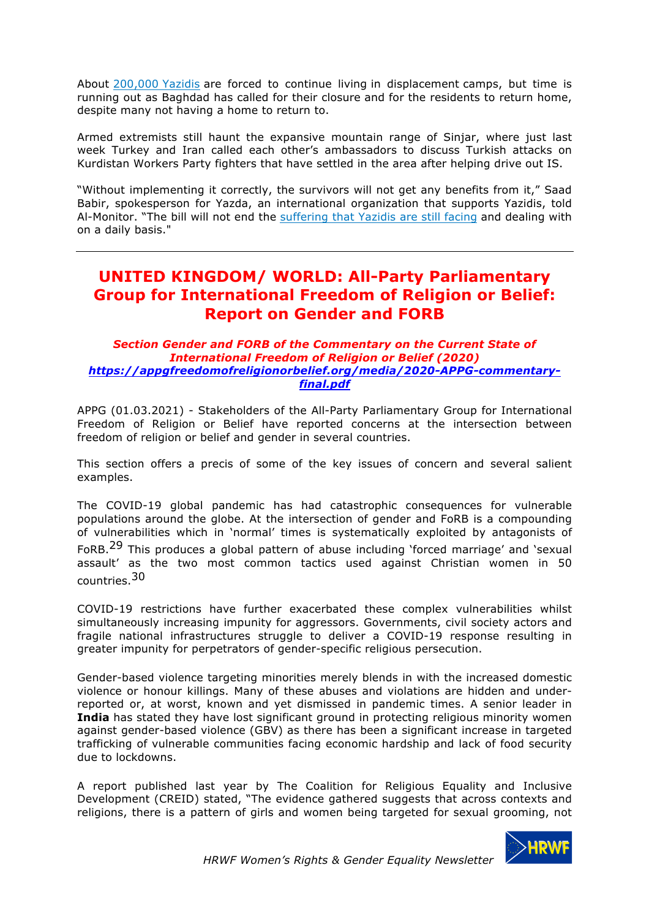About 200,000 Yazidis are forced to continue living in displacement camps, but time is running out as Baghdad has called for their closure and for the residents to return home, despite many not having a home to return to.

Armed extremists still haunt the expansive mountain range of Sinjar, where just last week Turkey and Iran called each other's ambassadors to discuss Turkish attacks on Kurdistan Workers Party fighters that have settled in the area after helping drive out IS.

"Without implementing it correctly, the survivors will not get any benefits from it," Saad Babir, spokesperson for Yazda, an international organization that supports Yazidis, told Al-Monitor. "The bill will not end the suffering that Yazidis are still facing and dealing with on a daily basis."

# **UNITED KINGDOM/ WORLD: All-Party Parliamentary Group for International Freedom of Religion or Belief: Report on Gender and FORB**

#### *Section Gender and FORB of the Commentary on the Current State of International Freedom of Religion or Belief (2020) https://appgfreedomofreligionorbelief.org/media/2020-APPG-commentaryfinal.pdf*

APPG (01.03.2021) - Stakeholders of the All-Party Parliamentary Group for International Freedom of Religion or Belief have reported concerns at the intersection between freedom of religion or belief and gender in several countries.

This section offers a precis of some of the key issues of concern and several salient examples.

The COVID-19 global pandemic has had catastrophic consequences for vulnerable populations around the globe. At the intersection of gender and FoRB is a compounding of vulnerabilities which in 'normal' times is systematically exploited by antagonists of FoRB.<sup>29</sup> This produces a global pattern of abuse including 'forced marriage' and 'sexual assault' as the two most common tactics used against Christian women in 50 countries.30

COVID-19 restrictions have further exacerbated these complex vulnerabilities whilst simultaneously increasing impunity for aggressors. Governments, civil society actors and fragile national infrastructures struggle to deliver a COVID-19 response resulting in greater impunity for perpetrators of gender-specific religious persecution.

Gender-based violence targeting minorities merely blends in with the increased domestic violence or honour killings. Many of these abuses and violations are hidden and underreported or, at worst, known and yet dismissed in pandemic times. A senior leader in **India** has stated they have lost significant ground in protecting religious minority women against gender-based violence (GBV) as there has been a significant increase in targeted trafficking of vulnerable communities facing economic hardship and lack of food security due to lockdowns.

A report published last year by The Coalition for Religious Equality and Inclusive Development (CREID) stated, "The evidence gathered suggests that across contexts and religions, there is a pattern of girls and women being targeted for sexual grooming, not

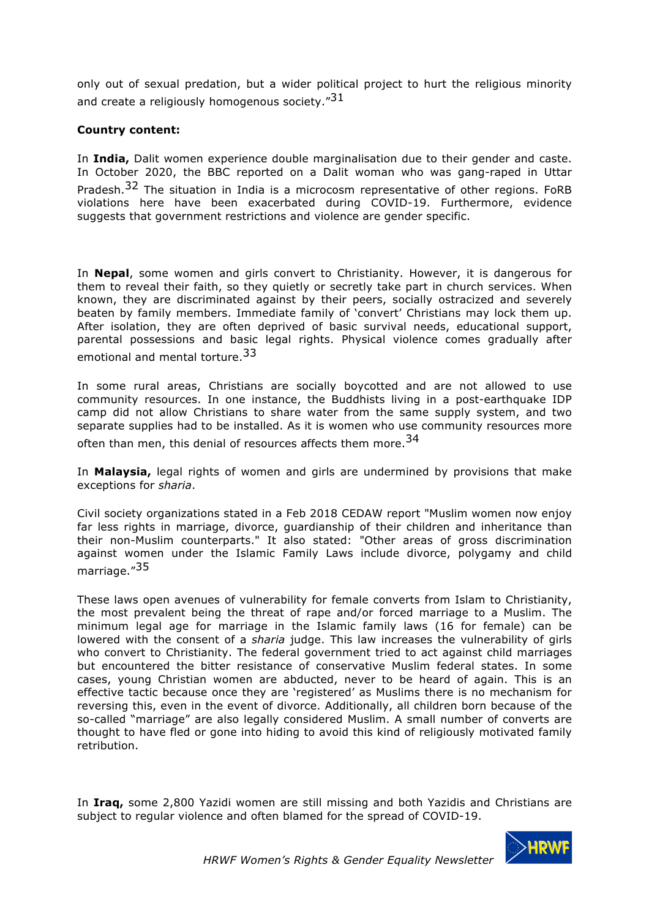only out of sexual predation, but a wider political project to hurt the religious minority and create a religiously homogenous society."31

### **Country content:**

In **India,** Dalit women experience double marginalisation due to their gender and caste. In October 2020, the BBC reported on a Dalit woman who was gang-raped in Uttar Pradesh.<sup>32</sup> The situation in India is a microcosm representative of other regions. FoRB violations here have been exacerbated during COVID-19. Furthermore, evidence suggests that government restrictions and violence are gender specific.

In **Nepal**, some women and girls convert to Christianity. However, it is dangerous for them to reveal their faith, so they quietly or secretly take part in church services. When known, they are discriminated against by their peers, socially ostracized and severely beaten by family members. Immediate family of 'convert' Christians may lock them up. After isolation, they are often deprived of basic survival needs, educational support, parental possessions and basic legal rights. Physical violence comes gradually after emotional and mental torture.<sup>33</sup>

In some rural areas, Christians are socially boycotted and are not allowed to use community resources. In one instance, the Buddhists living in a post-earthquake IDP camp did not allow Christians to share water from the same supply system, and two separate supplies had to be installed. As it is women who use community resources more often than men, this denial of resources affects them more.<sup>34</sup>

In **Malaysia,** legal rights of women and girls are undermined by provisions that make exceptions for *sharia*.

Civil society organizations stated in a Feb 2018 CEDAW report "Muslim women now enjoy far less rights in marriage, divorce, guardianship of their children and inheritance than their non-Muslim counterparts." It also stated: "Other areas of gross discrimination against women under the Islamic Family Laws include divorce, polygamy and child marriage."35

These laws open avenues of vulnerability for female converts from Islam to Christianity, the most prevalent being the threat of rape and/or forced marriage to a Muslim. The minimum legal age for marriage in the Islamic family laws (16 for female) can be lowered with the consent of a *sharia* judge. This law increases the vulnerability of girls who convert to Christianity. The federal government tried to act against child marriages but encountered the bitter resistance of conservative Muslim federal states. In some cases, young Christian women are abducted, never to be heard of again. This is an effective tactic because once they are 'registered' as Muslims there is no mechanism for reversing this, even in the event of divorce. Additionally, all children born because of the so-called "marriage" are also legally considered Muslim. A small number of converts are thought to have fled or gone into hiding to avoid this kind of religiously motivated family retribution.

In **Iraq,** some 2,800 Yazidi women are still missing and both Yazidis and Christians are subject to regular violence and often blamed for the spread of COVID-19.

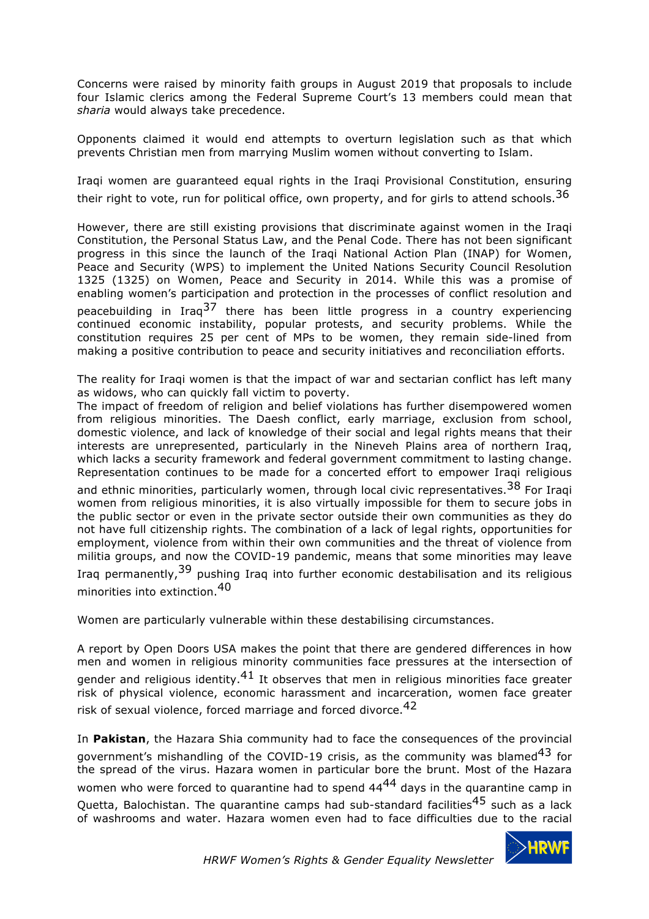Concerns were raised by minority faith groups in August 2019 that proposals to include four Islamic clerics among the Federal Supreme Court's 13 members could mean that *sharia* would always take precedence.

Opponents claimed it would end attempts to overturn legislation such as that which prevents Christian men from marrying Muslim women without converting to Islam.

Iraqi women are guaranteed equal rights in the Iraqi Provisional Constitution, ensuring their right to vote, run for political office, own property, and for girls to attend schools.<sup>36</sup>

However, there are still existing provisions that discriminate against women in the Iraqi Constitution, the Personal Status Law, and the Penal Code. There has not been significant progress in this since the launch of the Iraqi National Action Plan (INAP) for Women, Peace and Security (WPS) to implement the United Nations Security Council Resolution 1325 (1325) on Women, Peace and Security in 2014. While this was a promise of enabling women's participation and protection in the processes of conflict resolution and peacebuilding in Irag<sup>37</sup> there has been little progress in a country experiencing continued economic instability, popular protests, and security problems. While the constitution requires 25 per cent of MPs to be women, they remain side-lined from making a positive contribution to peace and security initiatives and reconciliation efforts.

The reality for Iraqi women is that the impact of war and sectarian conflict has left many as widows, who can quickly fall victim to poverty.

The impact of freedom of religion and belief violations has further disempowered women from religious minorities. The Daesh conflict, early marriage, exclusion from school, domestic violence, and lack of knowledge of their social and legal rights means that their interests are unrepresented, particularly in the Nineveh Plains area of northern Iraq, which lacks a security framework and federal government commitment to lasting change. Representation continues to be made for a concerted effort to empower Iraqi religious

and ethnic minorities, particularly women, through local civic representatives.<sup>38</sup> For Iraqi women from religious minorities, it is also virtually impossible for them to secure jobs in the public sector or even in the private sector outside their own communities as they do not have full citizenship rights. The combination of a lack of legal rights, opportunities for employment, violence from within their own communities and the threat of violence from militia groups, and now the COVID-19 pandemic, means that some minorities may leave Iraq permanently, <sup>39</sup> pushing Iraq into further economic destabilisation and its religious minorities into extinction.40

Women are particularly vulnerable within these destabilising circumstances.

A report by Open Doors USA makes the point that there are gendered differences in how men and women in religious minority communities face pressures at the intersection of gender and religious identity. $41$  It observes that men in religious minorities face greater risk of physical violence, economic harassment and incarceration, women face greater risk of sexual violence, forced marriage and forced divorce.<sup>42</sup>

In **Pakistan**, the Hazara Shia community had to face the consequences of the provincial government's mishandling of the COVID-19 crisis, as the community was blamed $^{43}$  for the spread of the virus. Hazara women in particular bore the brunt. Most of the Hazara women who were forced to quarantine had to spend  $44^{44}$  days in the quarantine camp in Quetta, Balochistan. The quarantine camps had sub-standard facilities $45$  such as a lack of washrooms and water. Hazara women even had to face difficulties due to the racial

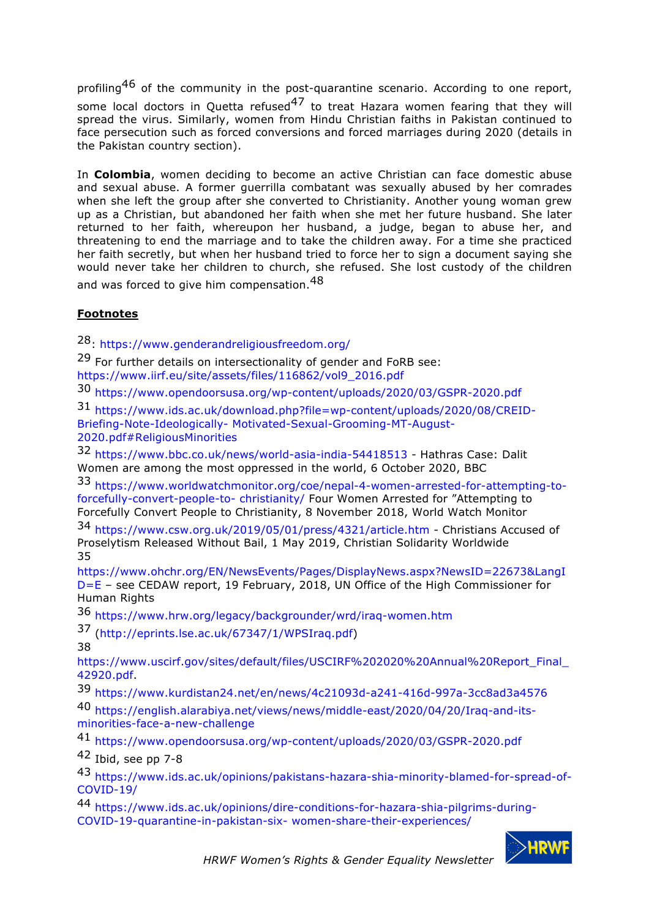profiling<sup>46</sup> of the community in the post-quarantine scenario. According to one report, some local doctors in Quetta refused<sup>47</sup> to treat Hazara women fearing that they will spread the virus. Similarly, women from Hindu Christian faiths in Pakistan continued to face persecution such as forced conversions and forced marriages during 2020 (details in the Pakistan country section).

In **Colombia**, women deciding to become an active Christian can face domestic abuse and sexual abuse. A former guerrilla combatant was sexually abused by her comrades when she left the group after she converted to Christianity. Another young woman grew up as a Christian, but abandoned her faith when she met her future husband. She later returned to her faith, whereupon her husband, a judge, began to abuse her, and threatening to end the marriage and to take the children away. For a time she practiced her faith secretly, but when her husband tried to force her to sign a document saying she would never take her children to church, she refused. She lost custody of the children and was forced to give him compensation.<sup>48</sup>

### **Footnotes**

28: https://www.genderandreligiousfreedom.org/

 $29$  For further details on intersectionality of gender and FoRB see: https://www.iirf.eu/site/assets/files/116862/vol9\_2016.pdf

30 https://www.opendoorsusa.org/wp-content/uploads/2020/03/GSPR-2020.pdf

31 https://www.ids.ac.uk/download.php?file=wp-content/uploads/2020/08/CREID-Briefing-Note-Ideologically- Motivated-Sexual-Grooming-MT-August-2020.pdf#ReligiousMinorities

32 https://www.bbc.co.uk/news/world-asia-india-54418513 - Hathras Case: Dalit Women are among the most oppressed in the world, 6 October 2020, BBC

33 https://www.worldwatchmonitor.org/coe/nepal-4-women-arrested-for-attempting-toforcefully-convert-people-to- christianity/ Four Women Arrested for "Attempting to Forcefully Convert People to Christianity, 8 November 2018, World Watch Monitor

34 https://www.csw.org.uk/2019/05/01/press/4321/article.htm - Christians Accused of Proselytism Released Without Bail, 1 May 2019, Christian Solidarity Worldwide 35

https://www.ohchr.org/EN/NewsEvents/Pages/DisplayNews.aspx?NewsID=22673&LangI D=E – see CEDAW report, 19 February, 2018, UN Office of the High Commissioner for Human Rights

36 https://www.hrw.org/legacy/backgrounder/wrd/iraq-women.htm

37 (http://eprints.lse.ac.uk/67347/1/WPSIraq.pdf)

38

https://www.uscirf.gov/sites/default/files/USCIRF%202020%20Annual%20Report\_Final\_ 42920.pdf.

39 https://www.kurdistan24.net/en/news/4c21093d-a241-416d-997a-3cc8ad3a4576

40 https://english.alarabiya.net/views/news/middle-east/2020/04/20/Iraq-and-itsminorities-face-a-new-challenge

41 https://www.opendoorsusa.org/wp-content/uploads/2020/03/GSPR-2020.pdf

 $42$  Ibid, see pp 7-8

43 https://www.ids.ac.uk/opinions/pakistans-hazara-shia-minority-blamed-for-spread-of-COVID-19/

44 https://www.ids.ac.uk/opinions/dire-conditions-for-hazara-shia-pilgrims-during-COVID-19-quarantine-in-pakistan-six- women-share-their-experiences/

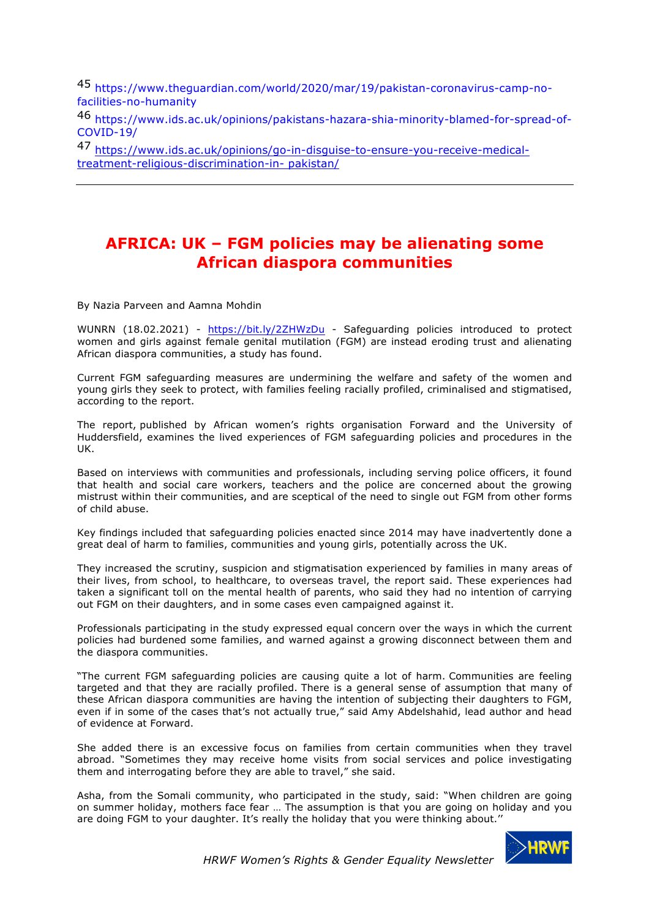45 https://www.theguardian.com/world/2020/mar/19/pakistan-coronavirus-camp-nofacilities-no-humanity

46 https://www.ids.ac.uk/opinions/pakistans-hazara-shia-minority-blamed-for-spread-of-COVID-19/

47 https://www.ids.ac.uk/opinions/go-in-disguise-to-ensure-you-receive-medicaltreatment-religious-discrimination-in- pakistan/

### **AFRICA: UK – FGM policies may be alienating some African diaspora communities**

By Nazia Parveen and Aamna Mohdin

WUNRN (18.02.2021) - https://bit.ly/2ZHWzDu - Safeguarding policies introduced to protect women and girls against female genital mutilation (FGM) are instead eroding trust and alienating African diaspora communities, a study has found.

Current FGM safeguarding measures are undermining the welfare and safety of the women and young girls they seek to protect, with families feeling racially profiled, criminalised and stigmatised, according to the report.

The report, published by African women's rights organisation Forward and the University of Huddersfield, examines the lived experiences of FGM safeguarding policies and procedures in the UK.

Based on interviews with communities and professionals, including serving police officers, it found that health and social care workers, teachers and the police are concerned about the growing mistrust within their communities, and are sceptical of the need to single out FGM from other forms of child abuse.

Key findings included that safeguarding policies enacted since 2014 may have inadvertently done a great deal of harm to families, communities and young girls, potentially across the UK.

They increased the scrutiny, suspicion and stigmatisation experienced by families in many areas of their lives, from school, to healthcare, to overseas travel, the report said. These experiences had taken a significant toll on the mental health of parents, who said they had no intention of carrying out FGM on their daughters, and in some cases even campaigned against it.

Professionals participating in the study expressed equal concern over the ways in which the current policies had burdened some families, and warned against a growing disconnect between them and the diaspora communities.

"The current FGM safeguarding policies are causing quite a lot of harm. Communities are feeling targeted and that they are racially profiled. There is a general sense of assumption that many of these African diaspora communities are having the intention of subjecting their daughters to FGM, even if in some of the cases that's not actually true," said Amy Abdelshahid, lead author and head of evidence at Forward.

She added there is an excessive focus on families from certain communities when they travel abroad. "Sometimes they may receive home visits from social services and police investigating them and interrogating before they are able to travel," she said.

Asha, from the Somali community, who participated in the study, said: "When children are going on summer holiday, mothers face fear … The assumption is that you are going on holiday and you are doing FGM to your daughter. It's really the holiday that you were thinking about.''

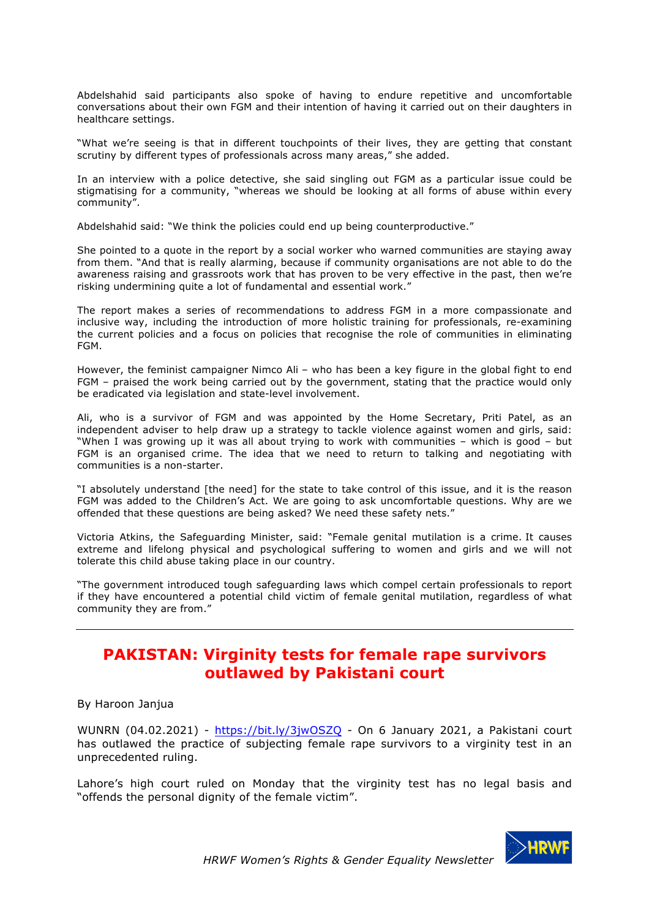Abdelshahid said participants also spoke of having to endure repetitive and uncomfortable conversations about their own FGM and their intention of having it carried out on their daughters in healthcare settings.

"What we're seeing is that in different touchpoints of their lives, they are getting that constant scrutiny by different types of professionals across many areas," she added.

In an interview with a police detective, she said singling out FGM as a particular issue could be stigmatising for a community, "whereas we should be looking at all forms of abuse within every community".

Abdelshahid said: "We think the policies could end up being counterproductive."

She pointed to a quote in the report by a social worker who warned communities are staying away from them. "And that is really alarming, because if community organisations are not able to do the awareness raising and grassroots work that has proven to be very effective in the past, then we're risking undermining quite a lot of fundamental and essential work."

The report makes a series of recommendations to address FGM in a more compassionate and inclusive way, including the introduction of more holistic training for professionals, re-examining the current policies and a focus on policies that recognise the role of communities in eliminating FGM.

However, the feminist campaigner Nimco Ali – who has been a key figure in the global fight to end FGM – praised the work being carried out by the government, stating that the practice would only be eradicated via legislation and state-level involvement.

Ali, who is a survivor of FGM and was appointed by the Home Secretary, Priti Patel, as an independent adviser to help draw up a strategy to tackle violence against women and girls, said: "When I was growing up it was all about trying to work with communities – which is good – but FGM is an organised crime. The idea that we need to return to talking and negotiating with communities is a non-starter.

"I absolutely understand [the need] for the state to take control of this issue, and it is the reason FGM was added to the Children's Act. We are going to ask uncomfortable questions. Why are we offended that these questions are being asked? We need these safety nets."

Victoria Atkins, the Safeguarding Minister, said: "Female genital mutilation is a crime. It causes extreme and lifelong physical and psychological suffering to women and girls and we will not tolerate this child abuse taking place in our country.

"The government introduced tough safeguarding laws which compel certain professionals to report if they have encountered a potential child victim of female genital mutilation, regardless of what community they are from."

### **PAKISTAN: Virginity tests for female rape survivors outlawed by Pakistani court**

By Haroon Janjua

WUNRN (04.02.2021) - https://bit.ly/3jwOSZQ - On 6 January 2021, a Pakistani court has outlawed the practice of subjecting female rape survivors to a virginity test in an unprecedented ruling.

Lahore's high court ruled on Monday that the virginity test has no legal basis and "offends the personal dignity of the female victim".

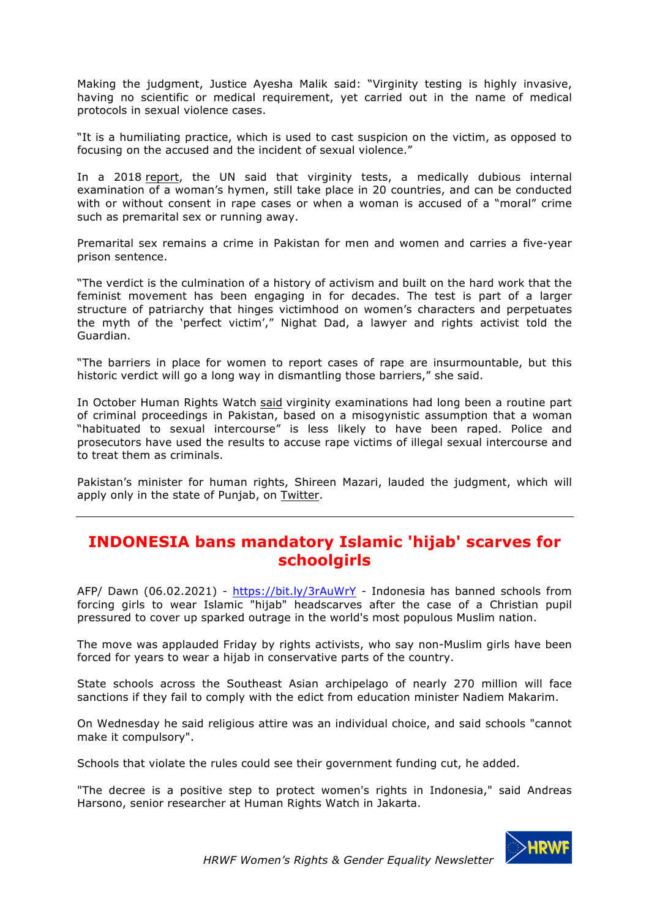Making the judgment, Justice Ayesha Malik said: "Virginity testing is highly invasive, having no scientific or medical requirement, yet carried out in the name of medical protocols in sexual violence cases.

"It is a humiliating practice, which is used to cast suspicion on the victim, as opposed to focusing on the accused and the incident of sexual violence."

In a 2018 report, the UN said that virginity tests, a medically dubious internal examination of a woman's hymen, still take place in 20 countries, and can be conducted with or without consent in rape cases or when a woman is accused of a "moral" crime such as premarital sex or running away.

Premarital sex remains a crime in Pakistan for men and women and carries a five-year prison sentence.

"The verdict is the culmination of a history of activism and built on the hard work that the feminist movement has been engaging in for decades. The test is part of a larger structure of patriarchy that hinges victimhood on women's characters and perpetuates the myth of the 'perfect victim'," Nighat Dad, a lawyer and rights activist told the Guardian.

"The barriers in place for women to report cases of rape are insurmountable, but this historic verdict will go a long way in dismantling those barriers," she said.

In October Human Rights Watch said virginity examinations had long been a routine part of criminal proceedings in Pakistan, based on a misogynistic assumption that a woman "habituated to sexual intercourse" is less likely to have been raped. Police and prosecutors have used the results to accuse rape victims of illegal sexual intercourse and to treat them as criminals.

Pakistan's minister for human rights, Shireen Mazari, lauded the judgment, which will apply only in the state of Punjab, on Twitter.

### **INDONESIA bans mandatory Islamic 'hijab' scarves for schoolgirls**

AFP/ Dawn (06.02.2021) - https://bit.ly/3rAuWrY - Indonesia has banned schools from forcing girls to wear Islamic "hijab" headscarves after the case of a Christian pupil pressured to cover up sparked outrage in the world's most populous Muslim nation.

The move was applauded Friday by rights activists, who say non-Muslim girls have been forced for years to wear a hijab in conservative parts of the country.

State schools across the Southeast Asian archipelago of nearly 270 million will face sanctions if they fail to comply with the edict from education minister Nadiem Makarim.

On Wednesday he said religious attire was an individual choice, and said schools "cannot make it compulsory".

Schools that violate the rules could see their government funding cut, he added.

"The decree is a positive step to protect women's rights in Indonesia," said Andreas Harsono, senior researcher at Human Rights Watch in Jakarta.

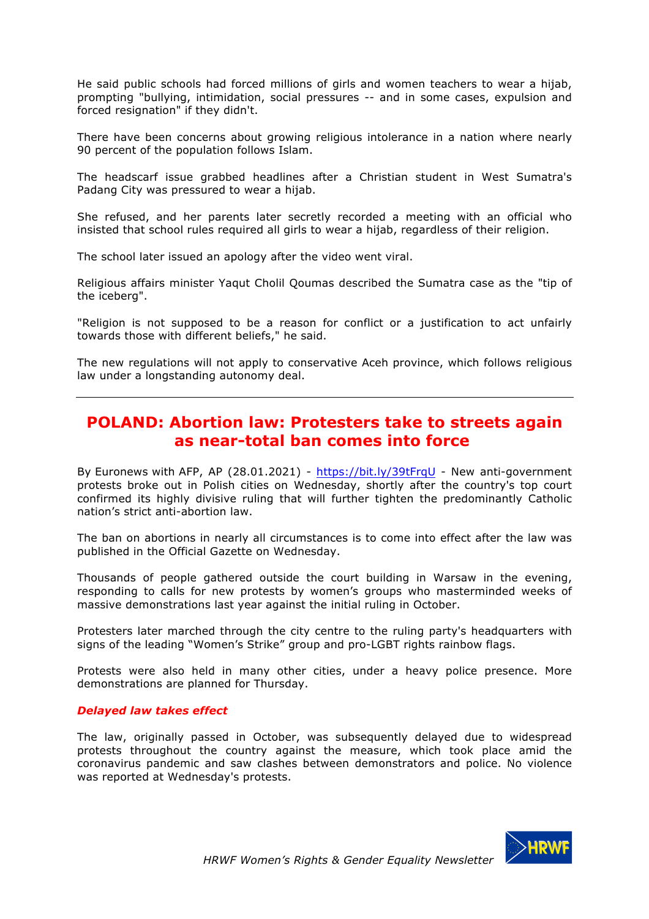He said public schools had forced millions of girls and women teachers to wear a hijab, prompting "bullying, intimidation, social pressures -- and in some cases, expulsion and forced resignation" if they didn't.

There have been concerns about growing religious intolerance in a nation where nearly 90 percent of the population follows Islam.

The headscarf issue grabbed headlines after a Christian student in West Sumatra's Padang City was pressured to wear a hijab.

She refused, and her parents later secretly recorded a meeting with an official who insisted that school rules required all girls to wear a hijab, regardless of their religion.

The school later issued an apology after the video went viral.

Religious affairs minister Yaqut Cholil Qoumas described the Sumatra case as the "tip of the iceberg".

"Religion is not supposed to be a reason for conflict or a justification to act unfairly towards those with different beliefs," he said.

The new regulations will not apply to conservative Aceh province, which follows religious law under a longstanding autonomy deal.

# **POLAND: Abortion law: Protesters take to streets again as near-total ban comes into force**

By Euronews with AFP, AP (28.01.2021) - https://bit.ly/39tFrqU - New anti-government protests broke out in Polish cities on Wednesday, shortly after the country's top court confirmed its highly divisive ruling that will further tighten the predominantly Catholic nation's strict anti-abortion law.

The ban on abortions in nearly all circumstances is to come into effect after the law was published in the Official Gazette on Wednesday.

Thousands of people gathered outside the court building in Warsaw in the evening, responding to calls for new protests by women's groups who masterminded weeks of massive demonstrations last year against the initial ruling in October.

Protesters later marched through the city centre to the ruling party's headquarters with signs of the leading "Women's Strike" group and pro-LGBT rights rainbow flags.

Protests were also held in many other cities, under a heavy police presence. More demonstrations are planned for Thursday.

#### *Delayed law takes effect*

The law, originally passed in October, was subsequently delayed due to widespread protests throughout the country against the measure, which took place amid the coronavirus pandemic and saw clashes between demonstrators and police. No violence was reported at Wednesday's protests.

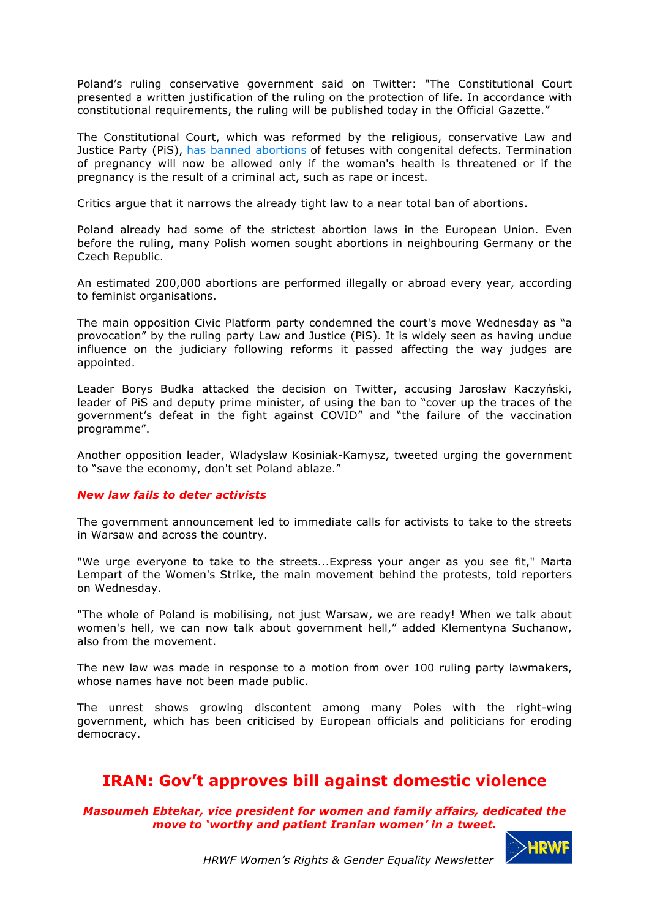Poland's ruling conservative government said on Twitter: "The Constitutional Court presented a written justification of the ruling on the protection of life. In accordance with constitutional requirements, the ruling will be published today in the Official Gazette."

The Constitutional Court, which was reformed by the religious, conservative Law and Justice Party (PiS), has banned abortions of fetuses with congenital defects. Termination of pregnancy will now be allowed only if the woman's health is threatened or if the pregnancy is the result of a criminal act, such as rape or incest.

Critics argue that it narrows the already tight law to a near total ban of abortions.

Poland already had some of the strictest abortion laws in the European Union. Even before the ruling, many Polish women sought abortions in neighbouring Germany or the Czech Republic.

An estimated 200,000 abortions are performed illegally or abroad every year, according to feminist organisations.

The main opposition Civic Platform party condemned the court's move Wednesday as "a provocation" by the ruling party Law and Justice (PiS). It is widely seen as having undue influence on the judiciary following reforms it passed affecting the way judges are appointed.

Leader Borys Budka attacked the decision on Twitter, accusing Jarosław Kaczyński, leader of PiS and deputy prime minister, of using the ban to "cover up the traces of the government's defeat in the fight against COVID" and "the failure of the vaccination programme".

Another opposition leader, Wladyslaw Kosiniak-Kamysz, tweeted urging the government to "save the economy, don't set Poland ablaze."

#### *New law fails to deter activists*

The government announcement led to immediate calls for activists to take to the streets in Warsaw and across the country.

"We urge everyone to take to the streets...Express your anger as you see fit," Marta Lempart of the Women's Strike, the main movement behind the protests, told reporters on Wednesday.

"The whole of Poland is mobilising, not just Warsaw, we are ready! When we talk about women's hell, we can now talk about government hell," added Klementyna Suchanow, also from the movement.

The new law was made in response to a motion from over 100 ruling party lawmakers, whose names have not been made public.

The unrest shows growing discontent among many Poles with the right-wing government, which has been criticised by European officials and politicians for eroding democracy.

### **IRAN: Gov't approves bill against domestic violence**

*Masoumeh Ebtekar, vice president for women and family affairs, dedicated the move to 'worthy and patient Iranian women' in a tweet.*

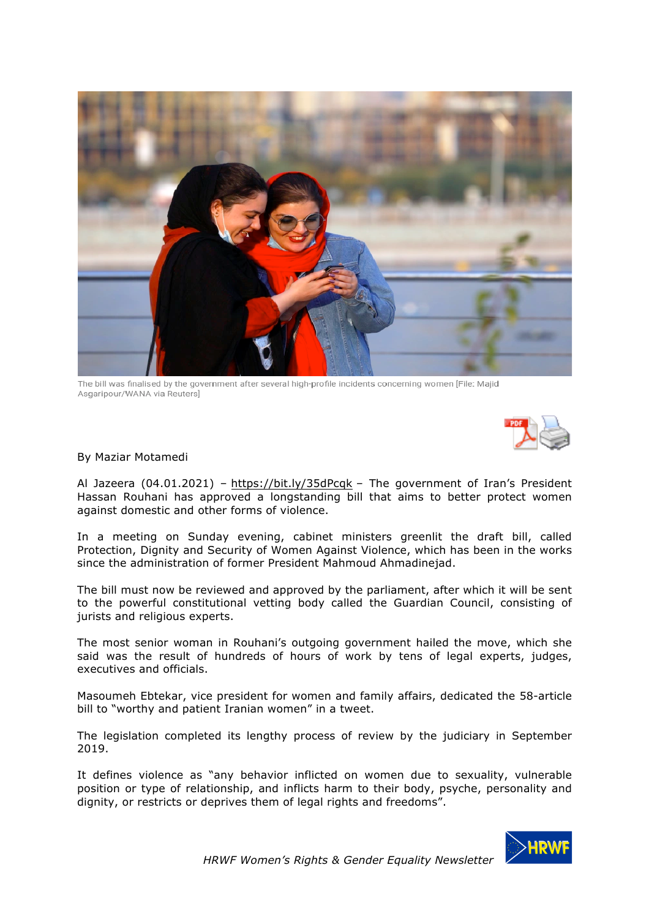

The bill was finalised by the government after several high-profile incidents concerning women [File: Majid Asgaripour/WANA via Reuters]



#### By Maziar Motamedi

Al Jazeera (04.01.2021) – https://bit.ly/35dPcqk – The government of Iran's President Hassan Rouhani has approved a longstanding bill that aims to better protect women against domestic and other forms of violence.

In a meeting on Sunday evening, cabinet ministers greenlit the draft bill, called Protection, Dignity and Security of Women Against Violence, which has been in the works since the administration of former President Mahmoud Ahmadinejad.

The bill must now be reviewed and approved by the parliament, after which it will be sent to the powerful constitutional vetting body called the Guardian Council, consisting of jurists and religious experts.

The most senior woman in Rouhani's outgoing government hailed the move, which she said was the result of hundreds of hours of work by tens of legal experts, judges, executives and officials.

Masoumeh Ebtekar, vice president for women and family affairs, dedicated the 58-article bill to "worthy and patient Iranian women" in a tweet.

The legislation completed its lengthy process of review by the judiciary in September 2019.

It defines violence as "any behavior inflicted on women due to sexuality, vulnerable position or type of relationship, and inflicts harm to their body, psyche, personality and dignity, or restricts or deprives them of legal rights and freedoms".

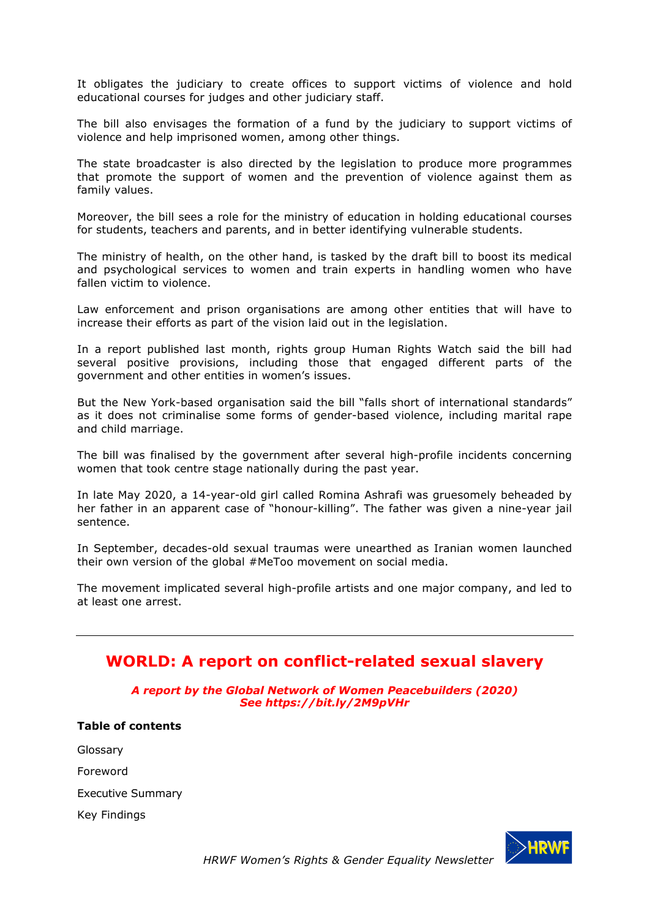It obligates the judiciary to create offices to support victims of violence and hold educational courses for judges and other judiciary staff.

The bill also envisages the formation of a fund by the judiciary to support victims of violence and help imprisoned women, among other things.

The state broadcaster is also directed by the legislation to produce more programmes that promote the support of women and the prevention of violence against them as family values.

Moreover, the bill sees a role for the ministry of education in holding educational courses for students, teachers and parents, and in better identifying vulnerable students.

The ministry of health, on the other hand, is tasked by the draft bill to boost its medical and psychological services to women and train experts in handling women who have fallen victim to violence.

Law enforcement and prison organisations are among other entities that will have to increase their efforts as part of the vision laid out in the legislation.

In a report published last month, rights group Human Rights Watch said the bill had several positive provisions, including those that engaged different parts of the government and other entities in women's issues.

But the New York-based organisation said the bill "falls short of international standards" as it does not criminalise some forms of gender-based violence, including marital rape and child marriage.

The bill was finalised by the government after several high-profile incidents concerning women that took centre stage nationally during the past year.

In late May 2020, a 14-year-old girl called Romina Ashrafi was gruesomely beheaded by her father in an apparent case of "honour-killing". The father was given a nine-year jail sentence.

In September, decades-old sexual traumas were unearthed as Iranian women launched their own version of the global #MeToo movement on social media.

The movement implicated several high-profile artists and one major company, and led to at least one arrest.

# **WORLD: A report on conflict-related sexual slavery**

*A report by the Global Network of Women Peacebuilders (2020) See https://bit.ly/2M9pVHr*

**Table of contents**

Glossary

Foreword

Executive Summary

Key Findings

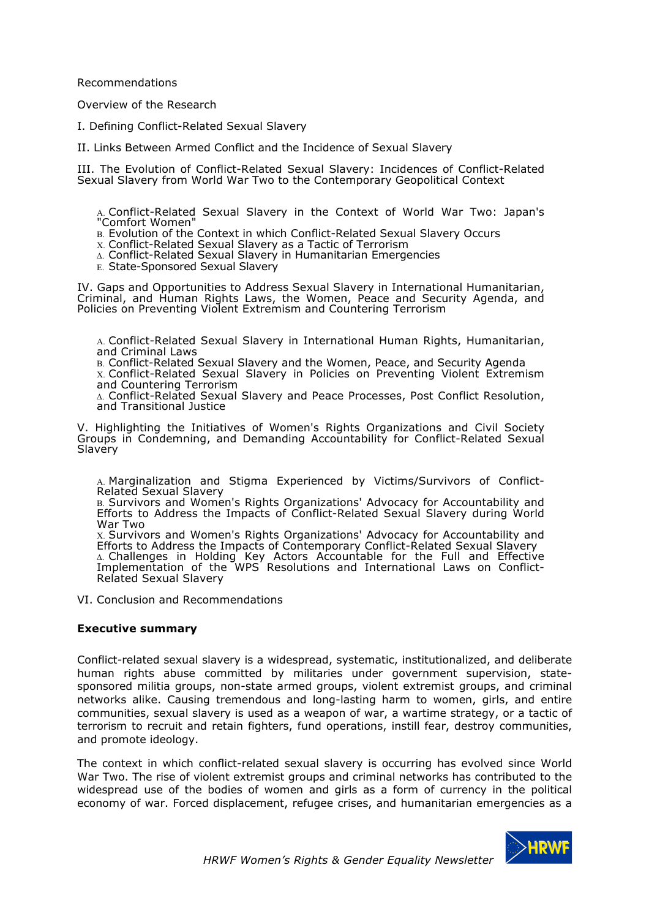Recommendations

#### Overview of the Research

I. Defining Conflict-Related Sexual Slavery

II. Links Between Armed Conflict and the Incidence of Sexual Slavery

III. The Evolution of Conflict-Related Sexual Slavery: Incidences of Conflict-Related Sexual Slavery from World War Two to the Contemporary Geopolitical Context

<sup>A</sup>. Conflict-Related Sexual Slavery in the Context of World War Two: Japan's "Comfort Women"

B. Evolution of the Context in which Conflict-Related Sexual Slavery Occurs

C. Conflict-Related Sexual Slavery as a Tactic of Terrorism

- A. Conflict-Related Sexual Slavery in Humanitarian Emergencies
- E. State-Sponsored Sexual Slavery

IV. Gaps and Opportunities to Address Sexual Slavery in International Humanitarian, Criminal, and Human Rights Laws, the Women, Peace and Security Agenda, and Policies on Preventing Violent Extremism and Countering Terrorism

A. Conflict-Related Sexual Slavery in International Human Rights, Humanitarian, and Criminal Laws

B. Conflict-Related Sexual Slavery and the Women, Peace, and Security Agenda

C. Conflict-Related Sexual Slavery in Policies on Preventing Violent Extremism and Countering Terrorism

 $\Delta$ . Conflict-Related Sexual Slavery and Peace Processes, Post Conflict Resolution, and Transitional Justice

V. Highlighting the Initiatives of Women's Rights Organizations and Civil Society Groups in Condemning, and Demanding Accountability for Conflict-Related Sexual Slavery

<sup>A</sup>. Marginalization and Stigma Experienced by Victims/Survivors of Conflict- Related Sexual Slavery

B. Survivors and Women's Rights Organizations' Advocacy for Accountability and Efforts to Address the Impacts of Conflict-Related Sexual Slavery during World War Two

C. Survivors and Women's Rights Organizations' Advocacy for Accountability and Efforts to Address the Impacts of Contemporary Conflict-Related Sexual Slavery  $\Delta$ . Challenges in Holding Key Actors Accountable for the Full and Effective Implementation of the WPS Resolutions and International Laws on Conflict-<br>Related Sexual Slavery

VI. Conclusion and Recommendations

#### **Executive summary**

Conflict-related sexual slavery is a widespread, systematic, institutionalized, and deliberate human rights abuse committed by militaries under government supervision, statesponsored militia groups, non-state armed groups, violent extremist groups, and criminal networks alike. Causing tremendous and long-lasting harm to women, girls, and entire communities, sexual slavery is used as a weapon of war, a wartime strategy, or a tactic of terrorism to recruit and retain fighters, fund operations, instill fear, destroy communities, and promote ideology.

The context in which conflict-related sexual slavery is occurring has evolved since World War Two. The rise of violent extremist groups and criminal networks has contributed to the widespread use of the bodies of women and girls as a form of currency in the political economy of war. Forced displacement, refugee crises, and humanitarian emergencies as a

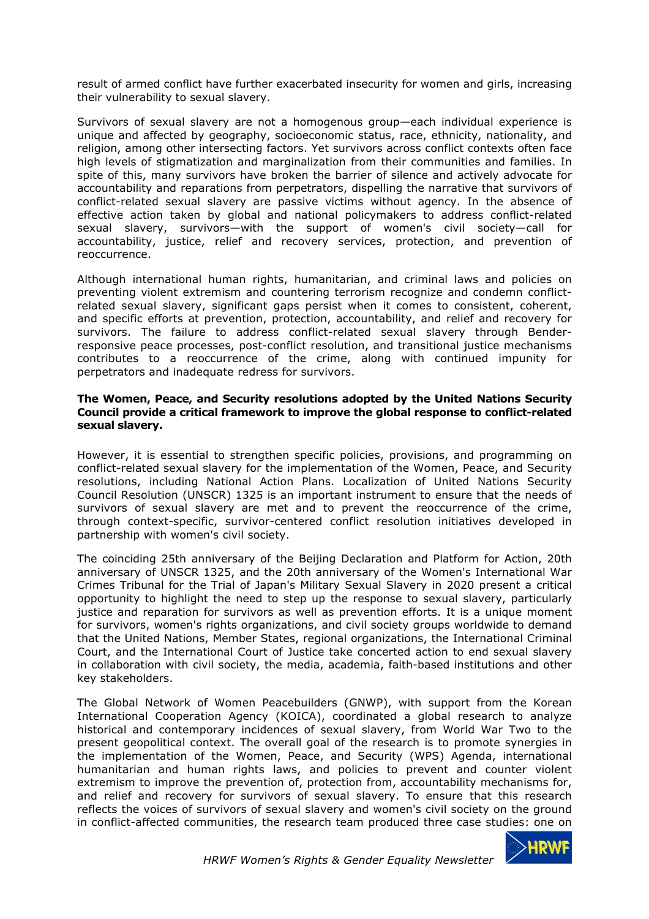result of armed conflict have further exacerbated insecurity for women and girls, increasing their vulnerability to sexual slavery.

Survivors of sexual slavery are not a homogenous group—each individual experience is unique and affected by geography, socioeconomic status, race, ethnicity, nationality, and religion, among other intersecting factors. Yet survivors across conflict contexts often face high levels of stigmatization and marginalization from their communities and families. In spite of this, many survivors have broken the barrier of silence and actively advocate for accountability and reparations from perpetrators, dispelling the narrative that survivors of conflict-related sexual slavery are passive victims without agency. In the absence of effective action taken by global and national policymakers to address conflict-related sexual slavery, survivors—with the support of women's civil society—call for accountability, justice, relief and recovery services, protection, and prevention of reoccurrence.

Although international human rights, humanitarian, and criminal laws and policies on preventing violent extremism and countering terrorism recognize and condemn conflictrelated sexual slavery, significant gaps persist when it comes to consistent, coherent, and specific efforts at prevention, protection, accountability, and relief and recovery for survivors. The failure to address conflict-related sexual slavery through Benderresponsive peace processes, post-conflict resolution, and transitional justice mechanisms contributes to a reoccurrence of the crime, along with continued impunity for perpetrators and inadequate redress for survivors.

#### **The Women, Peace, and Security resolutions adopted by the United Nations Security Council provide a critical framework to improve the global response to conflict-related sexual slavery.**

However, it is essential to strengthen specific policies, provisions, and programming on conflict-related sexual slavery for the implementation of the Women, Peace, and Security resolutions, including National Action Plans. Localization of United Nations Security Council Resolution (UNSCR) 1325 is an important instrument to ensure that the needs of survivors of sexual slavery are met and to prevent the reoccurrence of the crime, through context-specific, survivor-centered conflict resolution initiatives developed in partnership with women's civil society.

The coinciding 25th anniversary of the Beijing Declaration and Platform for Action, 20th anniversary of UNSCR 1325, and the 20th anniversary of the Women's International War Crimes Tribunal for the Trial of Japan's Military Sexual Slavery in 2020 present a critical opportunity to highlight the need to step up the response to sexual slavery, particularly justice and reparation for survivors as well as prevention efforts. It is a unique moment for survivors, women's rights organizations, and civil society groups worldwide to demand that the United Nations, Member States, regional organizations, the International Criminal Court, and the International Court of Justice take concerted action to end sexual slavery in collaboration with civil society, the media, academia, faith-based institutions and other key stakeholders.

The Global Network of Women Peacebuilders (GNWP), with support from the Korean International Cooperation Agency (KOICA), coordinated a global research to analyze historical and contemporary incidences of sexual slavery, from World War Two to the present geopolitical context. The overall goal of the research is to promote synergies in the implementation of the Women, Peace, and Security (WPS) Agenda, international humanitarian and human rights laws, and policies to prevent and counter violent extremism to improve the prevention of, protection from, accountability mechanisms for, and relief and recovery for survivors of sexual slavery. To ensure that this research reflects the voices of survivors of sexual slavery and women's civil society on the ground in conflict-affected communities, the research team produced three case studies: one on